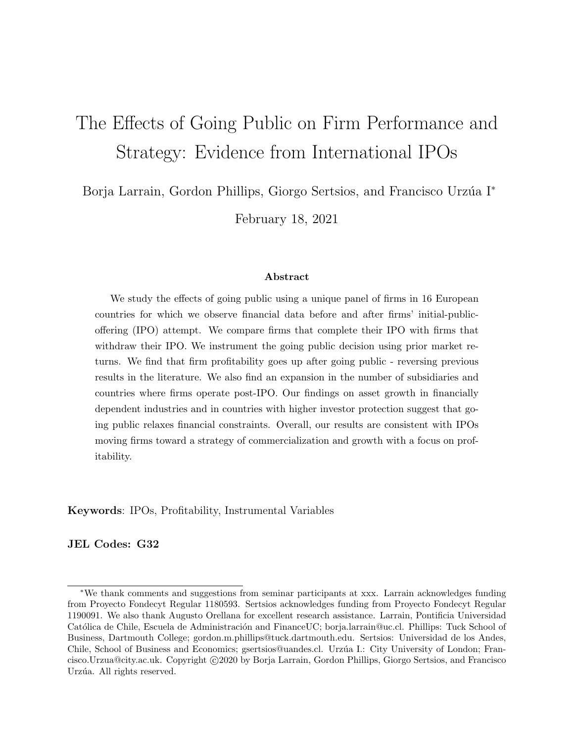# The Effects of Going Public on Firm Performance and Strategy: Evidence from International IPOs

Borja Larrain, Gordon Phillips, Giorgo Sertsios, and Francisco Urzúa I<sup>∗</sup>

February 18, 2021

#### Abstract

We study the effects of going public using a unique panel of firms in 16 European countries for which we observe financial data before and after firms' initial-publicoffering (IPO) attempt. We compare firms that complete their IPO with firms that withdraw their IPO. We instrument the going public decision using prior market returns. We find that firm profitability goes up after going public - reversing previous results in the literature. We also find an expansion in the number of subsidiaries and countries where firms operate post-IPO. Our findings on asset growth in financially dependent industries and in countries with higher investor protection suggest that going public relaxes financial constraints. Overall, our results are consistent with IPOs moving firms toward a strategy of commercialization and growth with a focus on profitability.

Keywords: IPOs, Profitability, Instrumental Variables

JEL Codes: G32

<sup>∗</sup>We thank comments and suggestions from seminar participants at xxx. Larrain acknowledges funding from Proyecto Fondecyt Regular 1180593. Sertsios acknowledges funding from Proyecto Fondecyt Regular 1190091. We also thank Augusto Orellana for excellent research assistance. Larrain, Pontificia Universidad Católica de Chile, Escuela de Administración and FinanceUC; borja.larrain@uc.cl. Phillips: Tuck School of Business, Dartmouth College; gordon.m.phillips@tuck.dartmouth.edu. Sertsios: Universidad de los Andes, Chile, School of Business and Economics; gsertsios@uandes.cl. Urzúa I.: City University of London; Francisco.Urzua@city.ac.uk. Copyright ©2020 by Borja Larrain, Gordon Phillips, Giorgo Sertsios, and Francisco Urzúa. All rights reserved.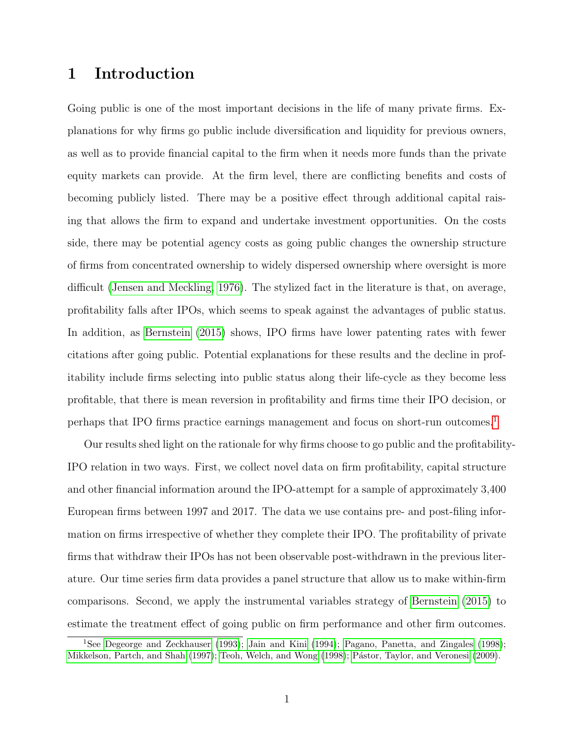# 1 Introduction

Going public is one of the most important decisions in the life of many private firms. Explanations for why firms go public include diversification and liquidity for previous owners, as well as to provide financial capital to the firm when it needs more funds than the private equity markets can provide. At the firm level, there are conflicting benefits and costs of becoming publicly listed. There may be a positive effect through additional capital raising that allows the firm to expand and undertake investment opportunities. On the costs side, there may be potential agency costs as going public changes the ownership structure of firms from concentrated ownership to widely dispersed ownership where oversight is more difficult [\(Jensen and Meckling, 1976\)](#page-22-0). The stylized fact in the literature is that, on average, profitability falls after IPOs, which seems to speak against the advantages of public status. In addition, as [Bernstein](#page-22-1) [\(2015\)](#page-22-1) shows, IPO firms have lower patenting rates with fewer citations after going public. Potential explanations for these results and the decline in profitability include firms selecting into public status along their life-cycle as they become less profitable, that there is mean reversion in profitability and firms time their IPO decision, or perhaps that IPO firms practice earnings management and focus on short-run outcomes.[1](#page-1-0)

Our results shed light on the rationale for why firms choose to go public and the profitability-IPO relation in two ways. First, we collect novel data on firm profitability, capital structure and other financial information around the IPO-attempt for a sample of approximately 3,400 European firms between 1997 and 2017. The data we use contains pre- and post-filing information on firms irrespective of whether they complete their IPO. The profitability of private firms that withdraw their IPOs has not been observable post-withdrawn in the previous literature. Our time series firm data provides a panel structure that allow us to make within-firm comparisons. Second, we apply the instrumental variables strategy of [Bernstein](#page-22-1) [\(2015\)](#page-22-1) to estimate the treatment effect of going public on firm performance and other firm outcomes.

<span id="page-1-0"></span><sup>1</sup>See [Degeorge and Zeckhauser](#page-22-2) [\(1993\)](#page-22-2); [Jain and Kini](#page-22-3) [\(1994\)](#page-22-3); [Pagano, Panetta, and Zingales](#page-23-0) [\(1998\)](#page-23-0); [Mikkelson, Partch, and Shah](#page-23-1) [\(1997\)](#page-23-1); [Teoh, Welch, and Wong](#page-23-2) [\(1998\)](#page-23-2); Pástor, Taylor, and Veronesi [\(2009\)](#page-23-3).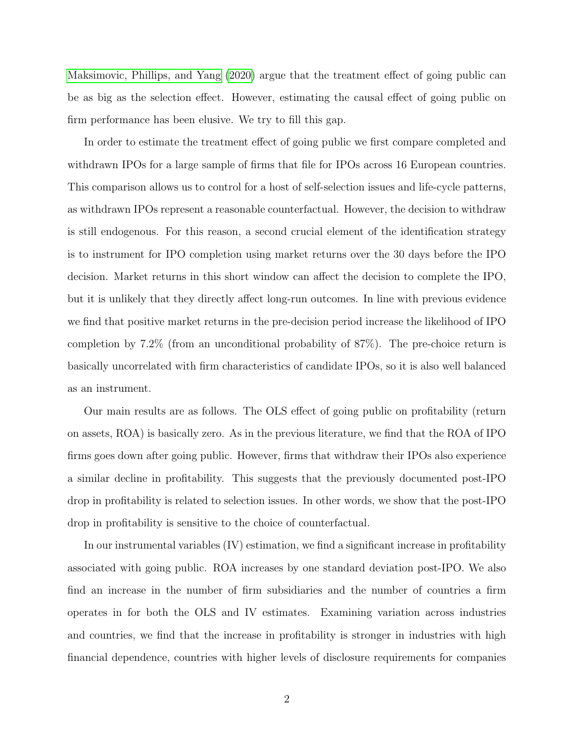[Maksimovic, Phillips, and Yang](#page-22-4) [\(2020\)](#page-22-4) argue that the treatment effect of going public can be as big as the selection effect. However, estimating the causal effect of going public on firm performance has been elusive. We try to fill this gap.

In order to estimate the treatment effect of going public we first compare completed and withdrawn IPOs for a large sample of firms that file for IPOs across 16 European countries. This comparison allows us to control for a host of self-selection issues and life-cycle patterns, as withdrawn IPOs represent a reasonable counterfactual. However, the decision to withdraw is still endogenous. For this reason, a second crucial element of the identification strategy is to instrument for IPO completion using market returns over the 30 days before the IPO decision. Market returns in this short window can affect the decision to complete the IPO, but it is unlikely that they directly affect long-run outcomes. In line with previous evidence we find that positive market returns in the pre-decision period increase the likelihood of IPO completion by 7.2% (from an unconditional probability of 87%). The pre-choice return is basically uncorrelated with firm characteristics of candidate IPOs, so it is also well balanced as an instrument.

Our main results are as follows. The OLS effect of going public on profitability (return on assets, ROA) is basically zero. As in the previous literature, we find that the ROA of IPO firms goes down after going public. However, firms that withdraw their IPOs also experience a similar decline in profitability. This suggests that the previously documented post-IPO drop in profitability is related to selection issues. In other words, we show that the post-IPO drop in profitability is sensitive to the choice of counterfactual.

In our instrumental variables (IV) estimation, we find a significant increase in profitability associated with going public. ROA increases by one standard deviation post-IPO. We also find an increase in the number of firm subsidiaries and the number of countries a firm operates in for both the OLS and IV estimates. Examining variation across industries and countries, we find that the increase in profitability is stronger in industries with high financial dependence, countries with higher levels of disclosure requirements for companies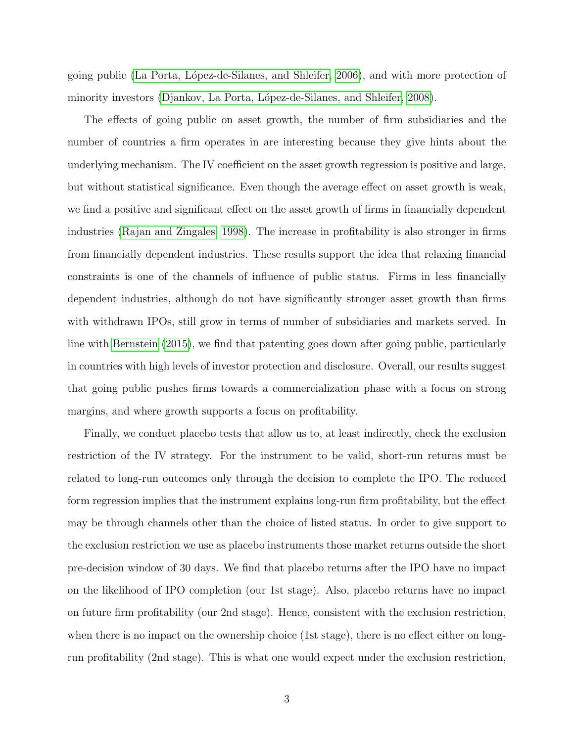going public [\(La Porta, L´opez-de-Silanes, and Shleifer, 2006\)](#page-22-5), and with more protection of minority investors (Djankov, La Porta, López-de-Silanes, and Shleifer, 2008).

The effects of going public on asset growth, the number of firm subsidiaries and the number of countries a firm operates in are interesting because they give hints about the underlying mechanism. The IV coefficient on the asset growth regression is positive and large, but without statistical significance. Even though the average effect on asset growth is weak, we find a positive and significant effect on the asset growth of firms in financially dependent industries [\(Rajan and Zingales, 1998\)](#page-23-4). The increase in profitability is also stronger in firms from financially dependent industries. These results support the idea that relaxing financial constraints is one of the channels of influence of public status. Firms in less financially dependent industries, although do not have significantly stronger asset growth than firms with withdrawn IPOs, still grow in terms of number of subsidiaries and markets served. In line with [Bernstein](#page-22-1) [\(2015\)](#page-22-1), we find that patenting goes down after going public, particularly in countries with high levels of investor protection and disclosure. Overall, our results suggest that going public pushes firms towards a commercialization phase with a focus on strong margins, and where growth supports a focus on profitability.

Finally, we conduct placebo tests that allow us to, at least indirectly, check the exclusion restriction of the IV strategy. For the instrument to be valid, short-run returns must be related to long-run outcomes only through the decision to complete the IPO. The reduced form regression implies that the instrument explains long-run firm profitability, but the effect may be through channels other than the choice of listed status. In order to give support to the exclusion restriction we use as placebo instruments those market returns outside the short pre-decision window of 30 days. We find that placebo returns after the IPO have no impact on the likelihood of IPO completion (our 1st stage). Also, placebo returns have no impact on future firm profitability (our 2nd stage). Hence, consistent with the exclusion restriction, when there is no impact on the ownership choice (1st stage), there is no effect either on longrun profitability (2nd stage). This is what one would expect under the exclusion restriction,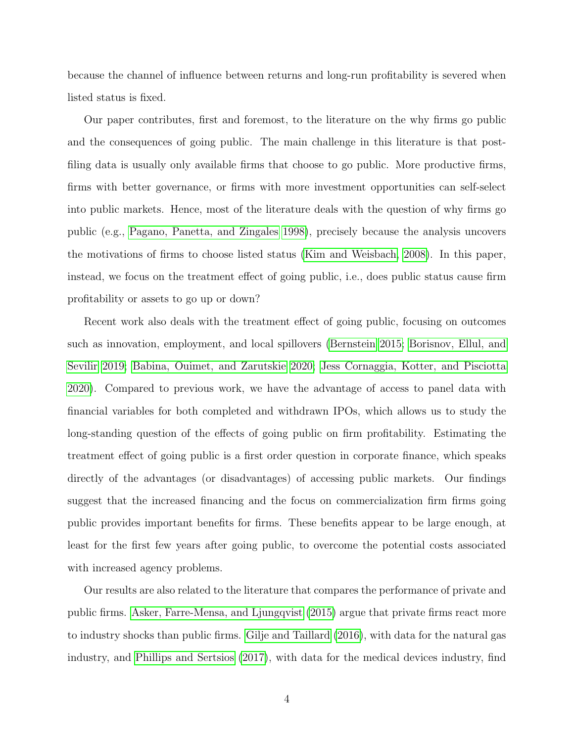because the channel of influence between returns and long-run profitability is severed when listed status is fixed.

Our paper contributes, first and foremost, to the literature on the why firms go public and the consequences of going public. The main challenge in this literature is that postfiling data is usually only available firms that choose to go public. More productive firms, firms with better governance, or firms with more investment opportunities can self-select into public markets. Hence, most of the literature deals with the question of why firms go public (e.g., [Pagano, Panetta, and Zingales 1998\)](#page-23-0), precisely because the analysis uncovers the motivations of firms to choose listed status [\(Kim and Weisbach, 2008\)](#page-22-7). In this paper, instead, we focus on the treatment effect of going public, i.e., does public status cause firm profitability or assets to go up or down?

Recent work also deals with the treatment effect of going public, focusing on outcomes such as innovation, employment, and local spillovers [\(Bernstein 2015;](#page-22-1) [Borisnov, Ellul, and](#page-22-8) [Sevilir 2019;](#page-22-8) [Babina, Ouimet, and Zarutskie 2020;](#page-22-9) [Jess Cornaggia, Kotter, and Pisciotta](#page-22-10) [2020\)](#page-22-10). Compared to previous work, we have the advantage of access to panel data with financial variables for both completed and withdrawn IPOs, which allows us to study the long-standing question of the effects of going public on firm profitability. Estimating the treatment effect of going public is a first order question in corporate finance, which speaks directly of the advantages (or disadvantages) of accessing public markets. Our findings suggest that the increased financing and the focus on commercialization firm firms going public provides important benefits for firms. These benefits appear to be large enough, at least for the first few years after going public, to overcome the potential costs associated with increased agency problems.

Our results are also related to the literature that compares the performance of private and public firms. [Asker, Farre-Mensa, and Ljungqvist](#page-22-11) [\(2015\)](#page-22-11) argue that private firms react more to industry shocks than public firms. [Gilje and Taillard](#page-22-12) [\(2016\)](#page-22-12), with data for the natural gas industry, and [Phillips and Sertsios](#page-23-5) [\(2017\)](#page-23-5), with data for the medical devices industry, find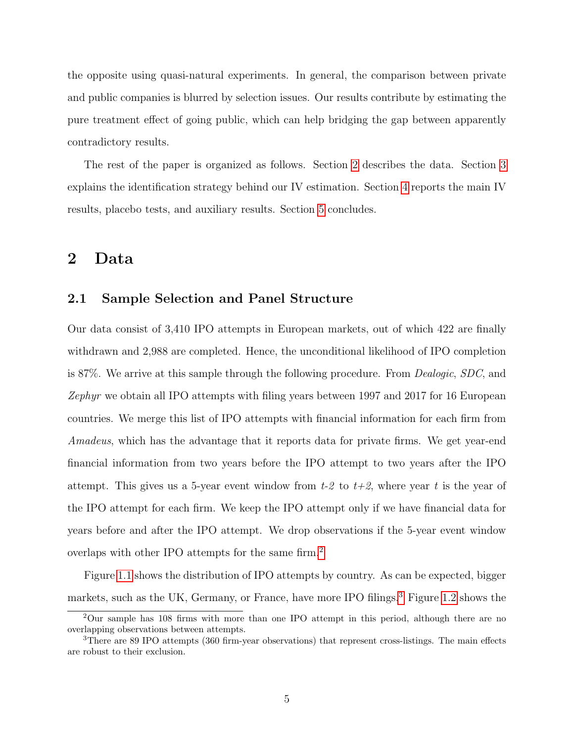the opposite using quasi-natural experiments. In general, the comparison between private and public companies is blurred by selection issues. Our results contribute by estimating the pure treatment effect of going public, which can help bridging the gap between apparently contradictory results.

The rest of the paper is organized as follows. Section [2](#page-5-0) describes the data. Section [3](#page-7-0) explains the identification strategy behind our IV estimation. Section [4](#page-12-0) reports the main IV results, placebo tests, and auxiliary results. Section [5](#page-20-0) concludes.

# <span id="page-5-0"></span>2 Data

# 2.1 Sample Selection and Panel Structure

Our data consist of 3,410 IPO attempts in European markets, out of which 422 are finally withdrawn and 2,988 are completed. Hence, the unconditional likelihood of IPO completion is 87%. We arrive at this sample through the following procedure. From Dealogic, SDC, and Zephyr we obtain all IPO attempts with filing years between 1997 and 2017 for 16 European countries. We merge this list of IPO attempts with financial information for each firm from Amadeus, which has the advantage that it reports data for private firms. We get year-end financial information from two years before the IPO attempt to two years after the IPO attempt. This gives us a 5-year event window from  $t-2$  to  $t+2$ , where year t is the year of the IPO attempt for each firm. We keep the IPO attempt only if we have financial data for years before and after the IPO attempt. We drop observations if the 5-year event window overlaps with other IPO attempts for the same firm.[2](#page-5-1)

Figure [1.1](#page-24-0) shows the distribution of IPO attempts by country. As can be expected, bigger markets, such as the UK, Germany, or France, have more IPO filings.<sup>[3](#page-5-2)</sup> Figure [1.2](#page-25-0) shows the

<span id="page-5-1"></span><sup>2</sup>Our sample has 108 firms with more than one IPO attempt in this period, although there are no overlapping observations between attempts.

<span id="page-5-2"></span><sup>3</sup>There are 89 IPO attempts (360 firm-year observations) that represent cross-listings. The main effects are robust to their exclusion.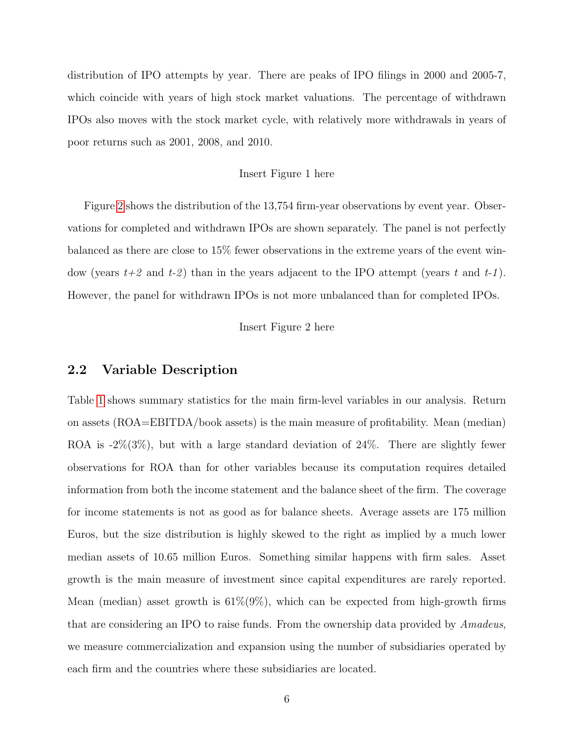distribution of IPO attempts by year. There are peaks of IPO filings in 2000 and 2005-7, which coincide with years of high stock market valuations. The percentage of withdrawn IPOs also moves with the stock market cycle, with relatively more withdrawals in years of poor returns such as 2001, 2008, and 2010.

#### Insert Figure 1 here

Figure [2](#page-26-0) shows the distribution of the 13,754 firm-year observations by event year. Observations for completed and withdrawn IPOs are shown separately. The panel is not perfectly balanced as there are close to 15% fewer observations in the extreme years of the event window (years  $t+2$  and  $t-2$ ) than in the years adjacent to the IPO attempt (years t and  $t-1$ ). However, the panel for withdrawn IPOs is not more unbalanced than for completed IPOs.

Insert Figure 2 here

# 2.2 Variable Description

Table [1](#page-31-0) shows summary statistics for the main firm-level variables in our analysis. Return on assets (ROA=EBITDA/book assets) is the main measure of profitability. Mean (median) ROA is -2%(3%), but with a large standard deviation of 24%. There are slightly fewer observations for ROA than for other variables because its computation requires detailed information from both the income statement and the balance sheet of the firm. The coverage for income statements is not as good as for balance sheets. Average assets are 175 million Euros, but the size distribution is highly skewed to the right as implied by a much lower median assets of 10.65 million Euros. Something similar happens with firm sales. Asset growth is the main measure of investment since capital expenditures are rarely reported. Mean (median) asset growth is  $61\%(9\%)$ , which can be expected from high-growth firms that are considering an IPO to raise funds. From the ownership data provided by Amadeus, we measure commercialization and expansion using the number of subsidiaries operated by each firm and the countries where these subsidiaries are located.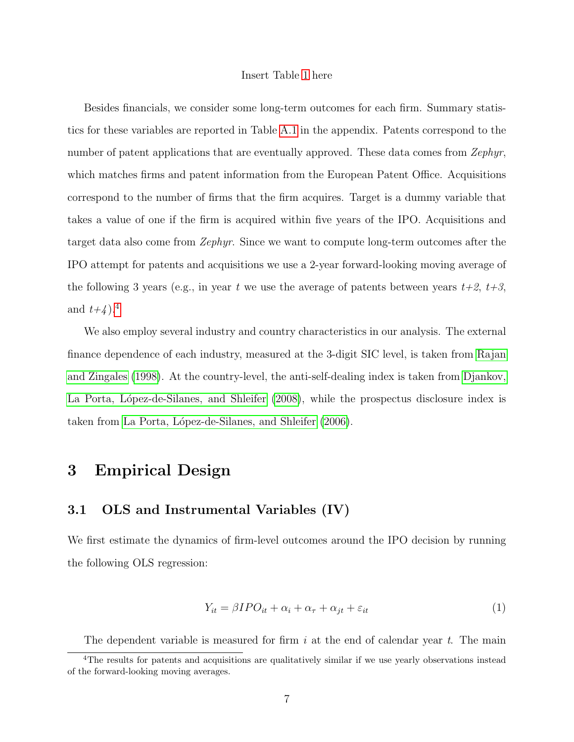#### Insert Table [1](#page-31-0) here

Besides financials, we consider some long-term outcomes for each firm. Summary statistics for these variables are reported in Table [A.1](#page-43-0) in the appendix. Patents correspond to the number of patent applications that are eventually approved. These data comes from Zephyr, which matches firms and patent information from the European Patent Office. Acquisitions correspond to the number of firms that the firm acquires. Target is a dummy variable that takes a value of one if the firm is acquired within five years of the IPO. Acquisitions and target data also come from Zephyr. Since we want to compute long-term outcomes after the IPO attempt for patents and acquisitions we use a 2-year forward-looking moving average of the following 3 years (e.g., in year t we use the average of patents between years  $t+2$ ,  $t+3$ , and  $t+4$  $t+4$ ).<sup>4</sup>

We also employ several industry and country characteristics in our analysis. The external finance dependence of each industry, measured at the 3-digit SIC level, is taken from [Rajan](#page-23-4) [and Zingales](#page-23-4) [\(1998\)](#page-23-4). At the country-level, the anti-self-dealing index is taken from [Djankov,](#page-22-6) La Porta, López-de-Silanes, and Shleifer [\(2008\)](#page-22-6), while the prospectus disclosure index is taken from La Porta, López-de-Silanes, and Shleifer [\(2006\)](#page-22-5).

# <span id="page-7-0"></span>3 Empirical Design

# 3.1 OLS and Instrumental Variables (IV)

We first estimate the dynamics of firm-level outcomes around the IPO decision by running the following OLS regression:

<span id="page-7-2"></span>
$$
Y_{it} = \beta IPO_{it} + \alpha_i + \alpha_\tau + \alpha_{jt} + \varepsilon_{it}
$$
\n<sup>(1)</sup>

<span id="page-7-1"></span>The dependent variable is measured for firm  $i$  at the end of calendar year  $t$ . The main

<sup>&</sup>lt;sup>4</sup>The results for patents and acquisitions are qualitatively similar if we use yearly observations instead of the forward-looking moving averages.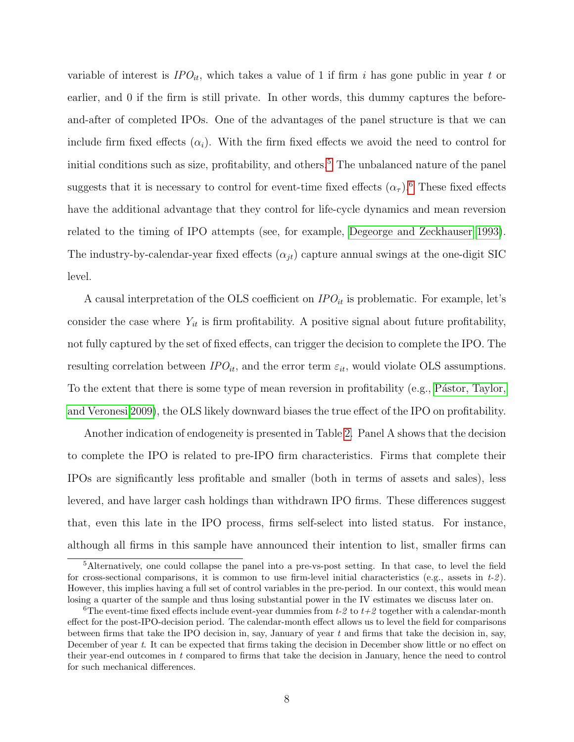variable of interest is  $IPO_{it}$ , which takes a value of 1 if firm i has gone public in year t or earlier, and 0 if the firm is still private. In other words, this dummy captures the beforeand-after of completed IPOs. One of the advantages of the panel structure is that we can include firm fixed effects  $(\alpha_i)$ . With the firm fixed effects we avoid the need to control for initial conditions such as size, profitability, and others.<sup>[5](#page-8-0)</sup> The unbalanced nature of the panel suggests that it is necessary to control for event-time fixed effects  $(\alpha_{\tau})$ .<sup>[6](#page-8-1)</sup> These fixed effects have the additional advantage that they control for life-cycle dynamics and mean reversion related to the timing of IPO attempts (see, for example, [Degeorge and Zeckhauser 1993\)](#page-22-2). The industry-by-calendar-year fixed effects  $(\alpha_{it})$  capture annual swings at the one-digit SIC level.

A causal interpretation of the OLS coefficient on  $IPO_{it}$  is problematic. For example, let's consider the case where  $Y_{it}$  is firm profitability. A positive signal about future profitability, not fully captured by the set of fixed effects, can trigger the decision to complete the IPO. The resulting correlation between  $IDQ_{it}$ , and the error term  $\varepsilon_{it}$ , would violate OLS assumptions. To the extent that there is some type of mean reversion in profitability (e.g., Pástor, Taylor, [and Veronesi 2009\)](#page-23-3), the OLS likely downward biases the true effect of the IPO on profitability.

Another indication of endogeneity is presented in Table [2.](#page-32-0) Panel A shows that the decision to complete the IPO is related to pre-IPO firm characteristics. Firms that complete their IPOs are significantly less profitable and smaller (both in terms of assets and sales), less levered, and have larger cash holdings than withdrawn IPO firms. These differences suggest that, even this late in the IPO process, firms self-select into listed status. For instance, although all firms in this sample have announced their intention to list, smaller firms can

<span id="page-8-0"></span><sup>5</sup>Alternatively, one could collapse the panel into a pre-vs-post setting. In that case, to level the field for cross-sectional comparisons, it is common to use firm-level initial characteristics (e.g., assets in  $t-2$ ). However, this implies having a full set of control variables in the pre-period. In our context, this would mean losing a quarter of the sample and thus losing substantial power in the IV estimates we discuss later on.

<span id="page-8-1"></span><sup>&</sup>lt;sup>6</sup>The event-time fixed effects include event-year dummies from  $t-2$  to  $t+2$  together with a calendar-month effect for the post-IPO-decision period. The calendar-month effect allows us to level the field for comparisons between firms that take the IPO decision in, say, January of year t and firms that take the decision in, say, December of year t. It can be expected that firms taking the decision in December show little or no effect on their year-end outcomes in t compared to firms that take the decision in January, hence the need to control for such mechanical differences.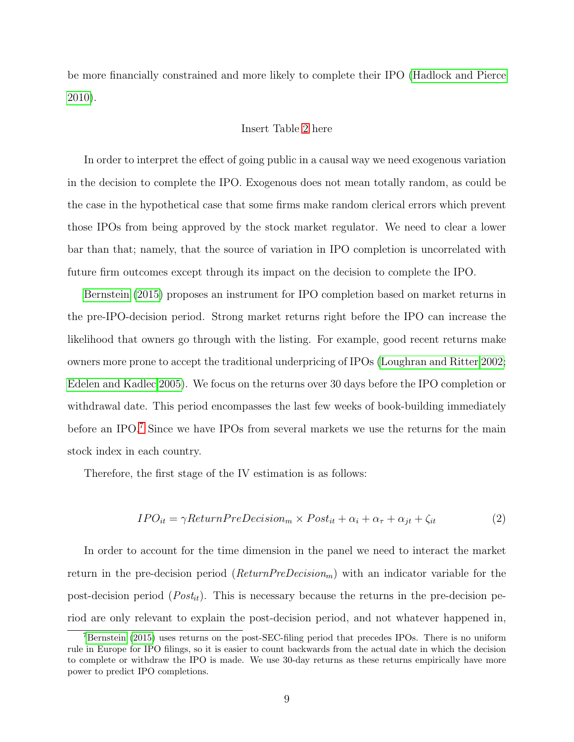be more financially constrained and more likely to complete their IPO [\(Hadlock and Pierce](#page-22-13) [2010\)](#page-22-13).

#### Insert Table [2](#page-32-0) here

In order to interpret the effect of going public in a causal way we need exogenous variation in the decision to complete the IPO. Exogenous does not mean totally random, as could be the case in the hypothetical case that some firms make random clerical errors which prevent those IPOs from being approved by the stock market regulator. We need to clear a lower bar than that; namely, that the source of variation in IPO completion is uncorrelated with future firm outcomes except through its impact on the decision to complete the IPO.

[Bernstein](#page-22-1) [\(2015\)](#page-22-1) proposes an instrument for IPO completion based on market returns in the pre-IPO-decision period. Strong market returns right before the IPO can increase the likelihood that owners go through with the listing. For example, good recent returns make owners more prone to accept the traditional underpricing of IPOs [\(Loughran and Ritter 2002;](#page-22-14) [Edelen and Kadlec 2005\)](#page-22-15). We focus on the returns over 30 days before the IPO completion or withdrawal date. This period encompasses the last few weeks of book-building immediately before an IPO.<sup>[7](#page-9-0)</sup> Since we have IPOs from several markets we use the returns for the main stock index in each country.

Therefore, the first stage of the IV estimation is as follows:

$$
IPO_{it} = \gamma Return PreDecision_m \times Post_{it} + \alpha_i + \alpha_{\tau} + \alpha_{jt} + \zeta_{it}
$$
 (2)

In order to account for the time dimension in the panel we need to interact the market return in the pre-decision period ( $ReturnPreDecision_m$ ) with an indicator variable for the post-decision period ( $Post<sub>it</sub>$ ). This is necessary because the returns in the pre-decision period are only relevant to explain the post-decision period, and not whatever happened in,

<span id="page-9-0"></span><sup>7</sup>[Bernstein](#page-22-1) [\(2015\)](#page-22-1) uses returns on the post-SEC-filing period that precedes IPOs. There is no uniform rule in Europe for IPO filings, so it is easier to count backwards from the actual date in which the decision to complete or withdraw the IPO is made. We use 30-day returns as these returns empirically have more power to predict IPO completions.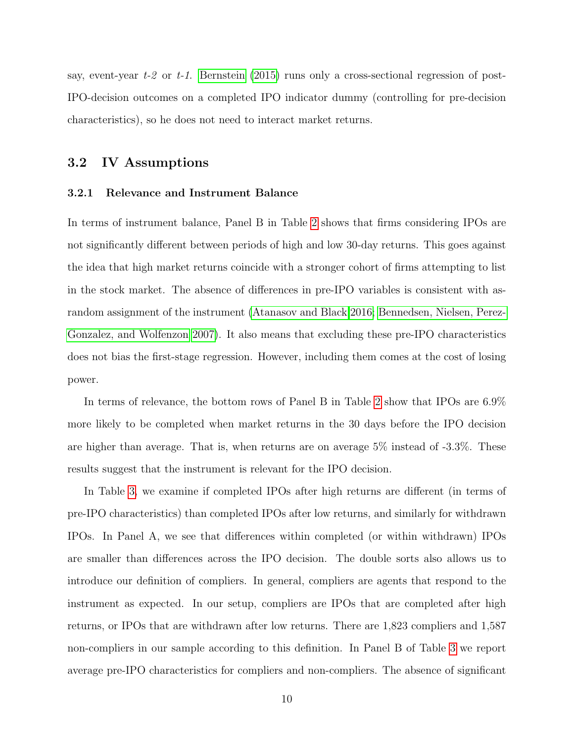say, event-year  $t-2$  or  $t-1$ . [Bernstein](#page-22-1) [\(2015\)](#page-22-1) runs only a cross-sectional regression of post-IPO-decision outcomes on a completed IPO indicator dummy (controlling for pre-decision characteristics), so he does not need to interact market returns.

# 3.2 IV Assumptions

#### 3.2.1 Relevance and Instrument Balance

In terms of instrument balance, Panel B in Table [2](#page-32-0) shows that firms considering IPOs are not significantly different between periods of high and low 30-day returns. This goes against the idea that high market returns coincide with a stronger cohort of firms attempting to list in the stock market. The absence of differences in pre-IPO variables is consistent with asrandom assignment of the instrument [\(Atanasov and Black 2016;](#page-22-16) [Bennedsen, Nielsen, Perez-](#page-22-17)[Gonzalez, and Wolfenzon 2007\)](#page-22-17). It also means that excluding these pre-IPO characteristics does not bias the first-stage regression. However, including them comes at the cost of losing power.

In terms of relevance, the bottom rows of Panel B in Table [2](#page-32-0) show that IPOs are 6.9% more likely to be completed when market returns in the 30 days before the IPO decision are higher than average. That is, when returns are on average 5% instead of -3.3%. These results suggest that the instrument is relevant for the IPO decision.

In Table [3,](#page-33-0) we examine if completed IPOs after high returns are different (in terms of pre-IPO characteristics) than completed IPOs after low returns, and similarly for withdrawn IPOs. In Panel A, we see that differences within completed (or within withdrawn) IPOs are smaller than differences across the IPO decision. The double sorts also allows us to introduce our definition of compliers. In general, compliers are agents that respond to the instrument as expected. In our setup, compliers are IPOs that are completed after high returns, or IPOs that are withdrawn after low returns. There are 1,823 compliers and 1,587 non-compliers in our sample according to this definition. In Panel B of Table [3](#page-33-0) we report average pre-IPO characteristics for compliers and non-compliers. The absence of significant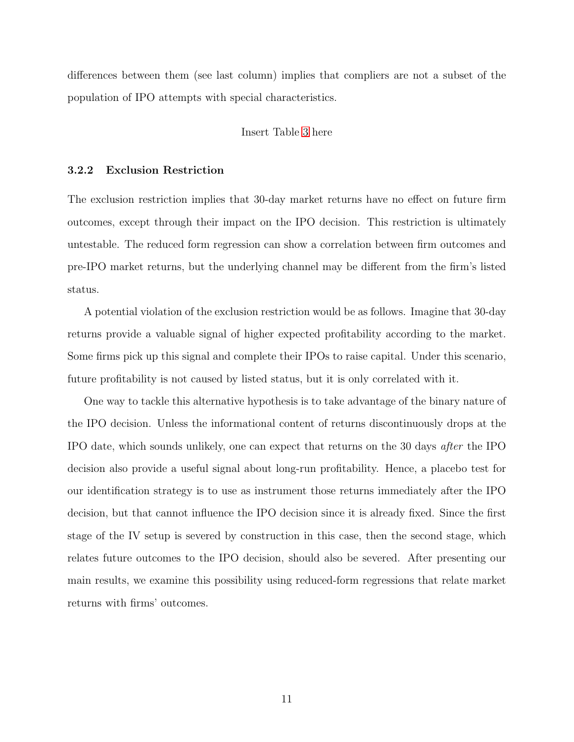differences between them (see last column) implies that compliers are not a subset of the population of IPO attempts with special characteristics.

#### Insert Table [3](#page-33-0) here

### 3.2.2 Exclusion Restriction

The exclusion restriction implies that 30-day market returns have no effect on future firm outcomes, except through their impact on the IPO decision. This restriction is ultimately untestable. The reduced form regression can show a correlation between firm outcomes and pre-IPO market returns, but the underlying channel may be different from the firm's listed status.

A potential violation of the exclusion restriction would be as follows. Imagine that 30-day returns provide a valuable signal of higher expected profitability according to the market. Some firms pick up this signal and complete their IPOs to raise capital. Under this scenario, future profitability is not caused by listed status, but it is only correlated with it.

One way to tackle this alternative hypothesis is to take advantage of the binary nature of the IPO decision. Unless the informational content of returns discontinuously drops at the IPO date, which sounds unlikely, one can expect that returns on the 30 days after the IPO decision also provide a useful signal about long-run profitability. Hence, a placebo test for our identification strategy is to use as instrument those returns immediately after the IPO decision, but that cannot influence the IPO decision since it is already fixed. Since the first stage of the IV setup is severed by construction in this case, then the second stage, which relates future outcomes to the IPO decision, should also be severed. After presenting our main results, we examine this possibility using reduced-form regressions that relate market returns with firms' outcomes.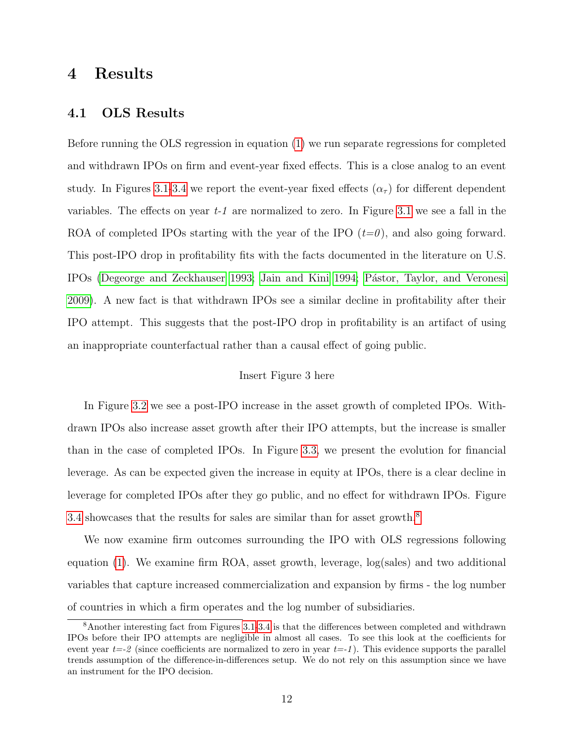# <span id="page-12-0"></span>4 Results

# 4.1 OLS Results

Before running the OLS regression in equation [\(1\)](#page-7-2) we run separate regressions for completed and withdrawn IPOs on firm and event-year fixed effects. This is a close analog to an event study. In Figures [3.1-](#page-27-0)[3.4](#page-30-0) we report the event-year fixed effects  $(\alpha_{\tau})$  for different dependent variables. The effects on year  $t-1$  are normalized to zero. In Figure [3.1](#page-27-0) we see a fall in the ROA of completed IPOs starting with the year of the IPO  $(t=0)$ , and also going forward. This post-IPO drop in profitability fits with the facts documented in the literature on U.S. IPOs [\(Degeorge and Zeckhauser 1993;](#page-22-2) [Jain and Kini 1994;](#page-22-3) Pástor, Taylor, and Veronesi [2009\)](#page-23-3). A new fact is that withdrawn IPOs see a similar decline in profitability after their IPO attempt. This suggests that the post-IPO drop in profitability is an artifact of using an inappropriate counterfactual rather than a causal effect of going public.

### Insert Figure 3 here

In Figure [3.2](#page-28-0) we see a post-IPO increase in the asset growth of completed IPOs. Withdrawn IPOs also increase asset growth after their IPO attempts, but the increase is smaller than in the case of completed IPOs. In Figure [3.3,](#page-29-0) we present the evolution for financial leverage. As can be expected given the increase in equity at IPOs, there is a clear decline in leverage for completed IPOs after they go public, and no effect for withdrawn IPOs. Figure [3.4](#page-30-0) showcases that the results for sales are similar than for asset growth.[8](#page-12-1)

We now examine firm outcomes surrounding the IPO with OLS regressions following equation [\(1\)](#page-7-2). We examine firm ROA, asset growth, leverage, log(sales) and two additional variables that capture increased commercialization and expansion by firms - the log number of countries in which a firm operates and the log number of subsidiaries.

<span id="page-12-1"></span><sup>8</sup>Another interesting fact from Figures [3.1](#page-27-0)[-3.4](#page-30-0) is that the differences between completed and withdrawn IPOs before their IPO attempts are negligible in almost all cases. To see this look at the coefficients for event year  $t=2$  (since coefficients are normalized to zero in year  $t=-1$ ). This evidence supports the parallel trends assumption of the difference-in-differences setup. We do not rely on this assumption since we have an instrument for the IPO decision.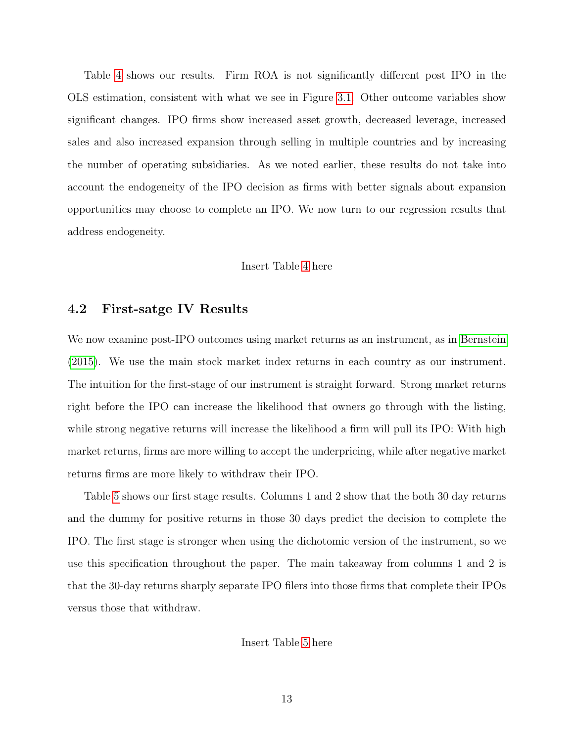Table [4](#page-34-0) shows our results. Firm ROA is not significantly different post IPO in the OLS estimation, consistent with what we see in Figure [3.1.](#page-27-0) Other outcome variables show significant changes. IPO firms show increased asset growth, decreased leverage, increased sales and also increased expansion through selling in multiple countries and by increasing the number of operating subsidiaries. As we noted earlier, these results do not take into account the endogeneity of the IPO decision as firms with better signals about expansion opportunities may choose to complete an IPO. We now turn to our regression results that address endogeneity.

#### Insert Table [4](#page-34-0) here

# 4.2 First-satge IV Results

We now examine post-IPO outcomes using market returns as an instrument, as in [Bernstein](#page-22-1) [\(2015\)](#page-22-1). We use the main stock market index returns in each country as our instrument. The intuition for the first-stage of our instrument is straight forward. Strong market returns right before the IPO can increase the likelihood that owners go through with the listing, while strong negative returns will increase the likelihood a firm will pull its IPO: With high market returns, firms are more willing to accept the underpricing, while after negative market returns firms are more likely to withdraw their IPO.

Table [5](#page-35-0) shows our first stage results. Columns 1 and 2 show that the both 30 day returns and the dummy for positive returns in those 30 days predict the decision to complete the IPO. The first stage is stronger when using the dichotomic version of the instrument, so we use this specification throughout the paper. The main takeaway from columns 1 and 2 is that the 30-day returns sharply separate IPO filers into those firms that complete their IPOs versus those that withdraw.

Insert Table [5](#page-35-0) here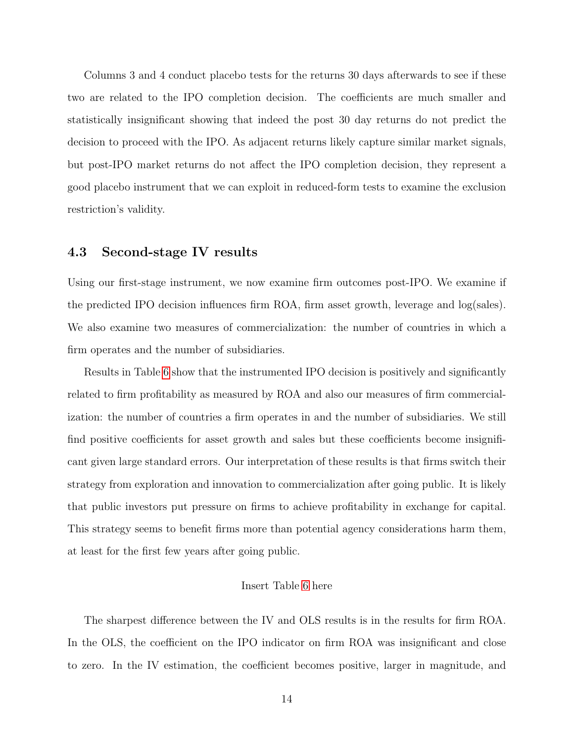Columns 3 and 4 conduct placebo tests for the returns 30 days afterwards to see if these two are related to the IPO completion decision. The coefficients are much smaller and statistically insignificant showing that indeed the post 30 day returns do not predict the decision to proceed with the IPO. As adjacent returns likely capture similar market signals, but post-IPO market returns do not affect the IPO completion decision, they represent a good placebo instrument that we can exploit in reduced-form tests to examine the exclusion restriction's validity.

# 4.3 Second-stage IV results

Using our first-stage instrument, we now examine firm outcomes post-IPO. We examine if the predicted IPO decision influences firm ROA, firm asset growth, leverage and log(sales). We also examine two measures of commercialization: the number of countries in which a firm operates and the number of subsidiaries.

Results in Table [6](#page-36-0) show that the instrumented IPO decision is positively and significantly related to firm profitability as measured by ROA and also our measures of firm commercialization: the number of countries a firm operates in and the number of subsidiaries. We still find positive coefficients for asset growth and sales but these coefficients become insignificant given large standard errors. Our interpretation of these results is that firms switch their strategy from exploration and innovation to commercialization after going public. It is likely that public investors put pressure on firms to achieve profitability in exchange for capital. This strategy seems to benefit firms more than potential agency considerations harm them, at least for the first few years after going public.

### Insert Table [6](#page-36-0) here

The sharpest difference between the IV and OLS results is in the results for firm ROA. In the OLS, the coefficient on the IPO indicator on firm ROA was insignificant and close to zero. In the IV estimation, the coefficient becomes positive, larger in magnitude, and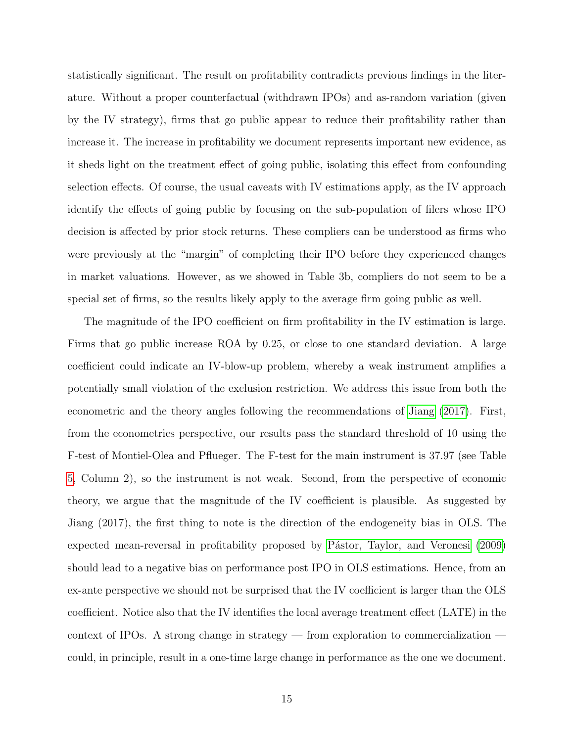statistically significant. The result on profitability contradicts previous findings in the literature. Without a proper counterfactual (withdrawn IPOs) and as-random variation (given by the IV strategy), firms that go public appear to reduce their profitability rather than increase it. The increase in profitability we document represents important new evidence, as it sheds light on the treatment effect of going public, isolating this effect from confounding selection effects. Of course, the usual caveats with IV estimations apply, as the IV approach identify the effects of going public by focusing on the sub-population of filers whose IPO decision is affected by prior stock returns. These compliers can be understood as firms who were previously at the "margin" of completing their IPO before they experienced changes in market valuations. However, as we showed in Table 3b, compliers do not seem to be a special set of firms, so the results likely apply to the average firm going public as well.

The magnitude of the IPO coefficient on firm profitability in the IV estimation is large. Firms that go public increase ROA by 0.25, or close to one standard deviation. A large coefficient could indicate an IV-blow-up problem, whereby a weak instrument amplifies a potentially small violation of the exclusion restriction. We address this issue from both the econometric and the theory angles following the recommendations of [Jiang](#page-22-18) [\(2017\)](#page-22-18). First, from the econometrics perspective, our results pass the standard threshold of 10 using the F-test of Montiel-Olea and Pflueger. The F-test for the main instrument is 37.97 (see Table [5,](#page-35-0) Column 2), so the instrument is not weak. Second, from the perspective of economic theory, we argue that the magnitude of the IV coefficient is plausible. As suggested by Jiang (2017), the first thing to note is the direction of the endogeneity bias in OLS. The expected mean-reversal in profitability proposed by Pástor, Taylor, and Veronesi [\(2009\)](#page-23-3) should lead to a negative bias on performance post IPO in OLS estimations. Hence, from an ex-ante perspective we should not be surprised that the IV coefficient is larger than the OLS coefficient. Notice also that the IV identifies the local average treatment effect (LATE) in the context of IPOs. A strong change in strategy — from exploration to commercialization could, in principle, result in a one-time large change in performance as the one we document.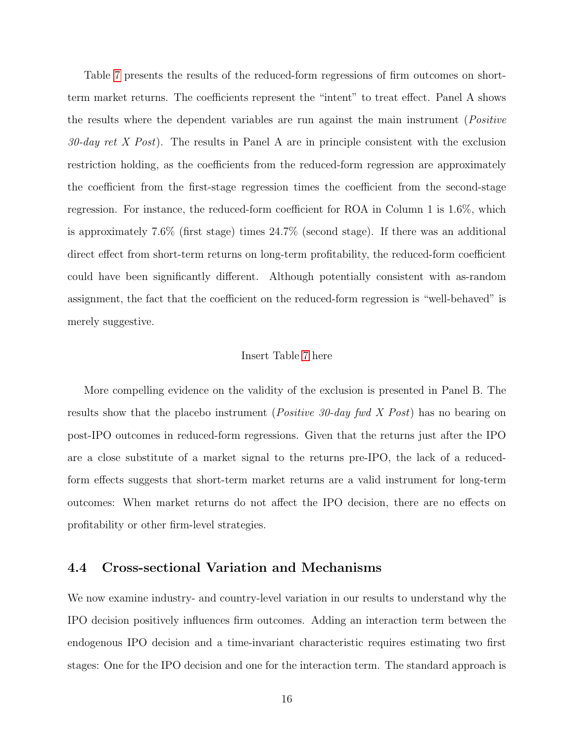Table [7](#page-37-0) presents the results of the reduced-form regressions of firm outcomes on shortterm market returns. The coefficients represent the "intent" to treat effect. Panel A shows the results where the dependent variables are run against the main instrument (Positive 30-day ret X Post). The results in Panel A are in principle consistent with the exclusion restriction holding, as the coefficients from the reduced-form regression are approximately the coefficient from the first-stage regression times the coefficient from the second-stage regression. For instance, the reduced-form coefficient for ROA in Column 1 is 1.6%, which is approximately 7.6% (first stage) times 24.7% (second stage). If there was an additional direct effect from short-term returns on long-term profitability, the reduced-form coefficient could have been significantly different. Although potentially consistent with as-random assignment, the fact that the coefficient on the reduced-form regression is "well-behaved" is merely suggestive.

#### Insert Table [7](#page-37-0) here

More compelling evidence on the validity of the exclusion is presented in Panel B. The results show that the placebo instrument (*Positive 30-day fwd X Post*) has no bearing on post-IPO outcomes in reduced-form regressions. Given that the returns just after the IPO are a close substitute of a market signal to the returns pre-IPO, the lack of a reducedform effects suggests that short-term market returns are a valid instrument for long-term outcomes: When market returns do not affect the IPO decision, there are no effects on profitability or other firm-level strategies.

# 4.4 Cross-sectional Variation and Mechanisms

We now examine industry- and country-level variation in our results to understand why the IPO decision positively influences firm outcomes. Adding an interaction term between the endogenous IPO decision and a time-invariant characteristic requires estimating two first stages: One for the IPO decision and one for the interaction term. The standard approach is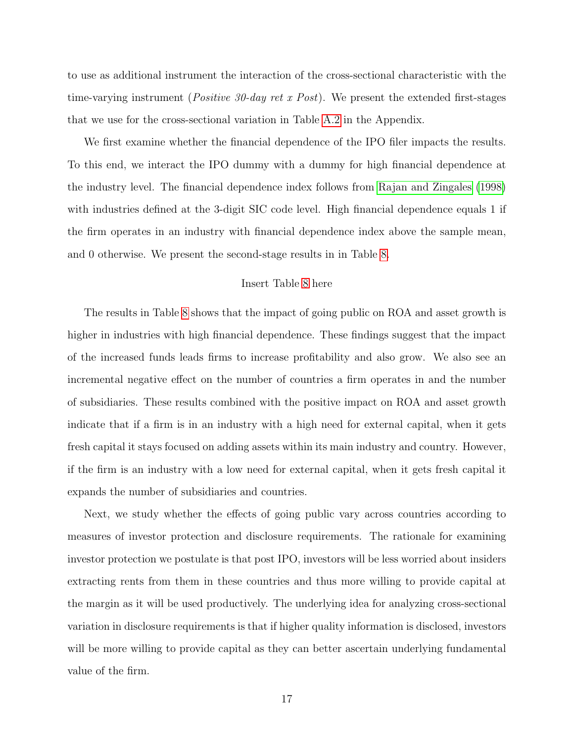to use as additional instrument the interaction of the cross-sectional characteristic with the time-varying instrument (*Positive 30-day ret x Post*). We present the extended first-stages that we use for the cross-sectional variation in Table [A.2](#page-44-0) in the Appendix.

We first examine whether the financial dependence of the IPO filer impacts the results. To this end, we interact the IPO dummy with a dummy for high financial dependence at the industry level. The financial dependence index follows from [Rajan and Zingales](#page-23-4) [\(1998\)](#page-23-4) with industries defined at the 3-digit SIC code level. High financial dependence equals 1 if the firm operates in an industry with financial dependence index above the sample mean, and 0 otherwise. We present the second-stage results in in Table [8.](#page-38-0)

# Insert Table [8](#page-38-0) here

The results in Table [8](#page-38-0) shows that the impact of going public on ROA and asset growth is higher in industries with high financial dependence. These findings suggest that the impact of the increased funds leads firms to increase profitability and also grow. We also see an incremental negative effect on the number of countries a firm operates in and the number of subsidiaries. These results combined with the positive impact on ROA and asset growth indicate that if a firm is in an industry with a high need for external capital, when it gets fresh capital it stays focused on adding assets within its main industry and country. However, if the firm is an industry with a low need for external capital, when it gets fresh capital it expands the number of subsidiaries and countries.

Next, we study whether the effects of going public vary across countries according to measures of investor protection and disclosure requirements. The rationale for examining investor protection we postulate is that post IPO, investors will be less worried about insiders extracting rents from them in these countries and thus more willing to provide capital at the margin as it will be used productively. The underlying idea for analyzing cross-sectional variation in disclosure requirements is that if higher quality information is disclosed, investors will be more willing to provide capital as they can better ascertain underlying fundamental value of the firm.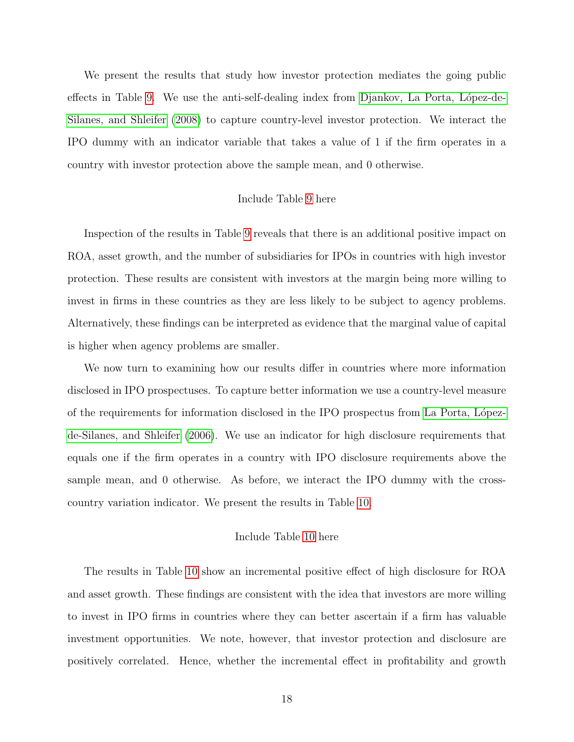We present the results that study how investor protection mediates the going public effects in Table [9.](#page-39-0) We use the anti-self-dealing index from Djankov, La Porta, López-de-[Silanes, and Shleifer](#page-22-6) [\(2008\)](#page-22-6) to capture country-level investor protection. We interact the IPO dummy with an indicator variable that takes a value of 1 if the firm operates in a country with investor protection above the sample mean, and 0 otherwise.

#### Include Table [9](#page-39-0) here

Inspection of the results in Table [9](#page-39-0) reveals that there is an additional positive impact on ROA, asset growth, and the number of subsidiaries for IPOs in countries with high investor protection. These results are consistent with investors at the margin being more willing to invest in firms in these countries as they are less likely to be subject to agency problems. Alternatively, these findings can be interpreted as evidence that the marginal value of capital is higher when agency problems are smaller.

We now turn to examining how our results differ in countries where more information disclosed in IPO prospectuses. To capture better information we use a country-level measure of the requirements for information disclosed in the IPO prospectus from La Porta, López[de-Silanes, and Shleifer](#page-22-5) [\(2006\)](#page-22-5). We use an indicator for high disclosure requirements that equals one if the firm operates in a country with IPO disclosure requirements above the sample mean, and 0 otherwise. As before, we interact the IPO dummy with the crosscountry variation indicator. We present the results in Table [10.](#page-40-0)

#### Include Table [10](#page-40-0) here

The results in Table [10](#page-40-0) show an incremental positive effect of high disclosure for ROA and asset growth. These findings are consistent with the idea that investors are more willing to invest in IPO firms in countries where they can better ascertain if a firm has valuable investment opportunities. We note, however, that investor protection and disclosure are positively correlated. Hence, whether the incremental effect in profitability and growth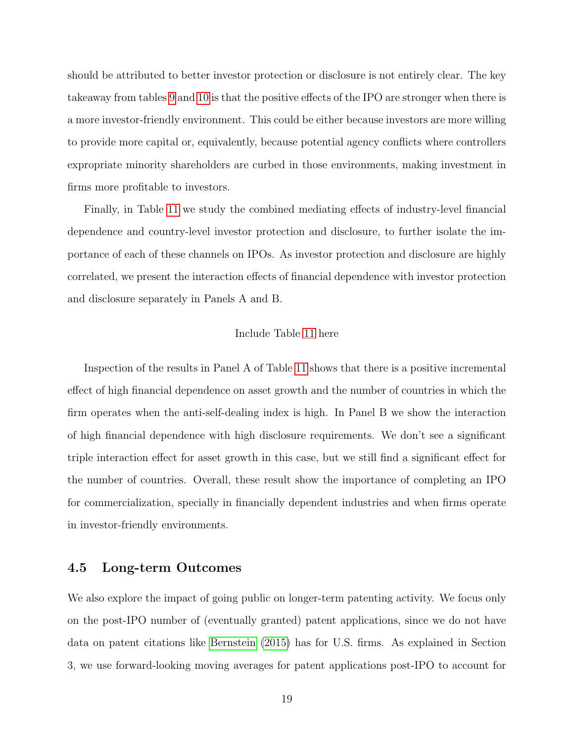should be attributed to better investor protection or disclosure is not entirely clear. The key takeaway from tables [9](#page-39-0) and [10](#page-40-0) is that the positive effects of the IPO are stronger when there is a more investor-friendly environment. This could be either because investors are more willing to provide more capital or, equivalently, because potential agency conflicts where controllers expropriate minority shareholders are curbed in those environments, making investment in firms more profitable to investors.

Finally, in Table [11](#page-41-0) we study the combined mediating effects of industry-level financial dependence and country-level investor protection and disclosure, to further isolate the importance of each of these channels on IPOs. As investor protection and disclosure are highly correlated, we present the interaction effects of financial dependence with investor protection and disclosure separately in Panels A and B.

#### Include Table [11](#page-41-0) here

Inspection of the results in Panel A of Table [11](#page-41-0) shows that there is a positive incremental effect of high financial dependence on asset growth and the number of countries in which the firm operates when the anti-self-dealing index is high. In Panel B we show the interaction of high financial dependence with high disclosure requirements. We don't see a significant triple interaction effect for asset growth in this case, but we still find a significant effect for the number of countries. Overall, these result show the importance of completing an IPO for commercialization, specially in financially dependent industries and when firms operate in investor-friendly environments.

# 4.5 Long-term Outcomes

We also explore the impact of going public on longer-term patenting activity. We focus only on the post-IPO number of (eventually granted) patent applications, since we do not have data on patent citations like [Bernstein](#page-22-1) [\(2015\)](#page-22-1) has for U.S. firms. As explained in Section 3, we use forward-looking moving averages for patent applications post-IPO to account for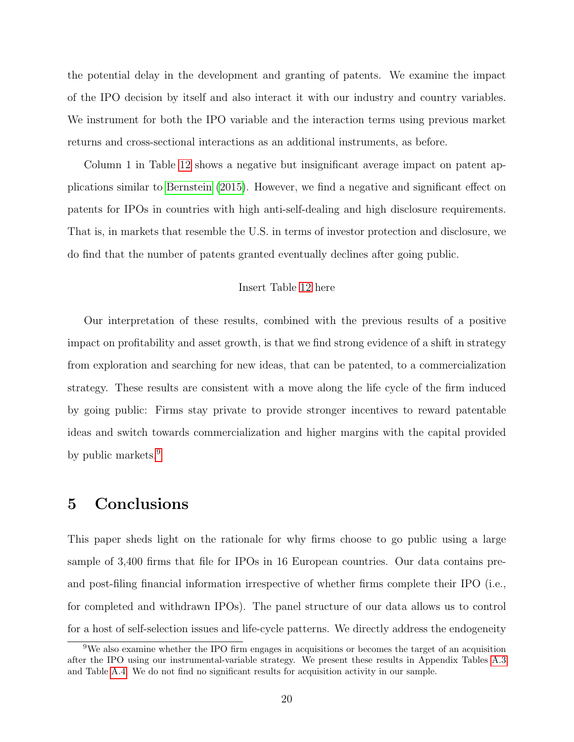the potential delay in the development and granting of patents. We examine the impact of the IPO decision by itself and also interact it with our industry and country variables. We instrument for both the IPO variable and the interaction terms using previous market returns and cross-sectional interactions as an additional instruments, as before.

Column 1 in Table [12](#page-42-0) shows a negative but insignificant average impact on patent applications similar to [Bernstein](#page-22-1) [\(2015\)](#page-22-1). However, we find a negative and significant effect on patents for IPOs in countries with high anti-self-dealing and high disclosure requirements. That is, in markets that resemble the U.S. in terms of investor protection and disclosure, we do find that the number of patents granted eventually declines after going public.

### Insert Table [12](#page-42-0) here

Our interpretation of these results, combined with the previous results of a positive impact on profitability and asset growth, is that we find strong evidence of a shift in strategy from exploration and searching for new ideas, that can be patented, to a commercialization strategy. These results are consistent with a move along the life cycle of the firm induced by going public: Firms stay private to provide stronger incentives to reward patentable ideas and switch towards commercialization and higher margins with the capital provided by public markets.[9](#page-20-1)

# <span id="page-20-0"></span>5 Conclusions

This paper sheds light on the rationale for why firms choose to go public using a large sample of 3,400 firms that file for IPOs in 16 European countries. Our data contains preand post-filing financial information irrespective of whether firms complete their IPO (i.e., for completed and withdrawn IPOs). The panel structure of our data allows us to control for a host of self-selection issues and life-cycle patterns. We directly address the endogeneity

<span id="page-20-1"></span><sup>9</sup>We also examine whether the IPO firm engages in acquisitions or becomes the target of an acquisition after the IPO using our instrumental-variable strategy. We present these results in Appendix Tables [A.3](#page-45-0) and Table [A.4.](#page-46-0) We do not find no significant results for acquisition activity in our sample.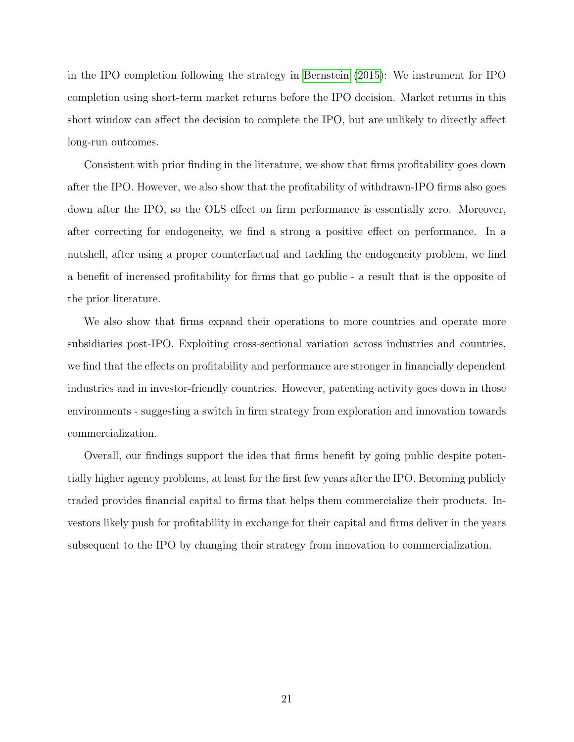in the IPO completion following the strategy in [Bernstein](#page-22-1) [\(2015\)](#page-22-1): We instrument for IPO completion using short-term market returns before the IPO decision. Market returns in this short window can affect the decision to complete the IPO, but are unlikely to directly affect long-run outcomes.

Consistent with prior finding in the literature, we show that firms profitability goes down after the IPO. However, we also show that the profitability of withdrawn-IPO firms also goes down after the IPO, so the OLS effect on firm performance is essentially zero. Moreover, after correcting for endogeneity, we find a strong a positive effect on performance. In a nutshell, after using a proper counterfactual and tackling the endogeneity problem, we find a benefit of increased profitability for firms that go public - a result that is the opposite of the prior literature.

We also show that firms expand their operations to more countries and operate more subsidiaries post-IPO. Exploiting cross-sectional variation across industries and countries, we find that the effects on profitability and performance are stronger in financially dependent industries and in investor-friendly countries. However, patenting activity goes down in those environments - suggesting a switch in firm strategy from exploration and innovation towards commercialization.

Overall, our findings support the idea that firms benefit by going public despite potentially higher agency problems, at least for the first few years after the IPO. Becoming publicly traded provides financial capital to firms that helps them commercialize their products. Investors likely push for profitability in exchange for their capital and firms deliver in the years subsequent to the IPO by changing their strategy from innovation to commercialization.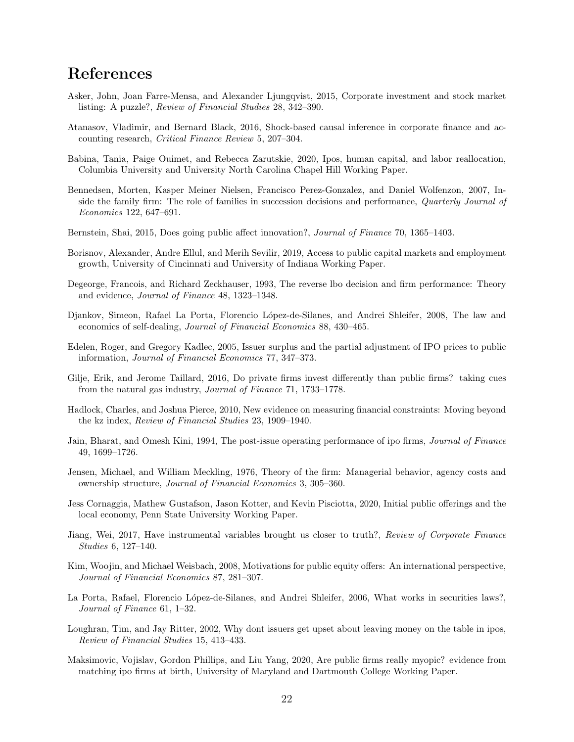# References

- <span id="page-22-11"></span>Asker, John, Joan Farre-Mensa, and Alexander Ljungqvist, 2015, Corporate investment and stock market listing: A puzzle?, Review of Financial Studies 28, 342–390.
- <span id="page-22-16"></span>Atanasov, Vladimir, and Bernard Black, 2016, Shock-based causal inference in corporate finance and accounting research, Critical Finance Review 5, 207–304.
- <span id="page-22-9"></span>Babina, Tania, Paige Ouimet, and Rebecca Zarutskie, 2020, Ipos, human capital, and labor reallocation, Columbia University and University North Carolina Chapel Hill Working Paper.
- <span id="page-22-17"></span>Bennedsen, Morten, Kasper Meiner Nielsen, Francisco Perez-Gonzalez, and Daniel Wolfenzon, 2007, Inside the family firm: The role of families in succession decisions and performance, Quarterly Journal of Economics 122, 647–691.
- <span id="page-22-1"></span>Bernstein, Shai, 2015, Does going public affect innovation?, Journal of Finance 70, 1365–1403.
- <span id="page-22-8"></span>Borisnov, Alexander, Andre Ellul, and Merih Sevilir, 2019, Access to public capital markets and employment growth, University of Cincinnati and University of Indiana Working Paper.
- <span id="page-22-2"></span>Degeorge, Francois, and Richard Zeckhauser, 1993, The reverse lbo decision and firm performance: Theory and evidence, Journal of Finance 48, 1323–1348.
- <span id="page-22-6"></span>Djankov, Simeon, Rafael La Porta, Florencio López-de-Silanes, and Andrei Shleifer, 2008, The law and economics of self-dealing, Journal of Financial Economics 88, 430–465.
- <span id="page-22-15"></span>Edelen, Roger, and Gregory Kadlec, 2005, Issuer surplus and the partial adjustment of IPO prices to public information, Journal of Financial Economics 77, 347–373.
- <span id="page-22-12"></span>Gilje, Erik, and Jerome Taillard, 2016, Do private firms invest differently than public firms? taking cues from the natural gas industry, Journal of Finance 71, 1733–1778.
- <span id="page-22-13"></span>Hadlock, Charles, and Joshua Pierce, 2010, New evidence on measuring financial constraints: Moving beyond the kz index, Review of Financial Studies 23, 1909–1940.
- <span id="page-22-3"></span>Jain, Bharat, and Omesh Kini, 1994, The post-issue operating performance of ipo firms, Journal of Finance 49, 1699–1726.
- <span id="page-22-0"></span>Jensen, Michael, and William Meckling, 1976, Theory of the firm: Managerial behavior, agency costs and ownership structure, Journal of Financial Economics 3, 305–360.
- <span id="page-22-10"></span>Jess Cornaggia, Mathew Gustafson, Jason Kotter, and Kevin Pisciotta, 2020, Initial public offerings and the local economy, Penn State University Working Paper.
- <span id="page-22-18"></span>Jiang, Wei, 2017, Have instrumental variables brought us closer to truth?, Review of Corporate Finance Studies 6, 127–140.
- <span id="page-22-7"></span>Kim, Woojin, and Michael Weisbach, 2008, Motivations for public equity offers: An international perspective, Journal of Financial Economics 87, 281–307.
- <span id="page-22-5"></span>La Porta, Rafael, Florencio López-de-Silanes, and Andrei Shleifer, 2006, What works in securities laws?, Journal of Finance 61, 1–32.
- <span id="page-22-14"></span>Loughran, Tim, and Jay Ritter, 2002, Why dont issuers get upset about leaving money on the table in ipos, Review of Financial Studies 15, 413–433.
- <span id="page-22-4"></span>Maksimovic, Vojislav, Gordon Phillips, and Liu Yang, 2020, Are public firms really myopic? evidence from matching ipo firms at birth, University of Maryland and Dartmouth College Working Paper.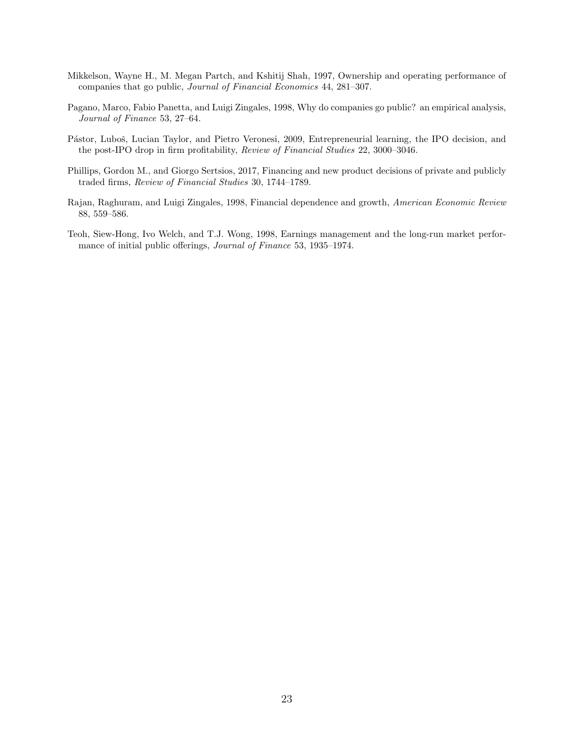- <span id="page-23-1"></span>Mikkelson, Wayne H., M. Megan Partch, and Kshitij Shah, 1997, Ownership and operating performance of companies that go public, Journal of Financial Economics 44, 281–307.
- <span id="page-23-0"></span>Pagano, Marco, Fabio Panetta, and Luigi Zingales, 1998, Why do companies go public? an empirical analysis, Journal of Finance 53, 27–64.
- <span id="page-23-3"></span>Pástor, Luboš, Lucian Taylor, and Pietro Veronesi, 2009, Entrepreneurial learning, the IPO decision, and the post-IPO drop in firm profitability, Review of Financial Studies 22, 3000–3046.
- <span id="page-23-5"></span>Phillips, Gordon M., and Giorgo Sertsios, 2017, Financing and new product decisions of private and publicly traded firms, Review of Financial Studies 30, 1744–1789.
- <span id="page-23-4"></span>Rajan, Raghuram, and Luigi Zingales, 1998, Financial dependence and growth, American Economic Review 88, 559–586.
- <span id="page-23-2"></span>Teoh, Siew-Hong, Ivo Welch, and T.J. Wong, 1998, Earnings management and the long-run market performance of initial public offerings, Journal of Finance 53, 1935–1974.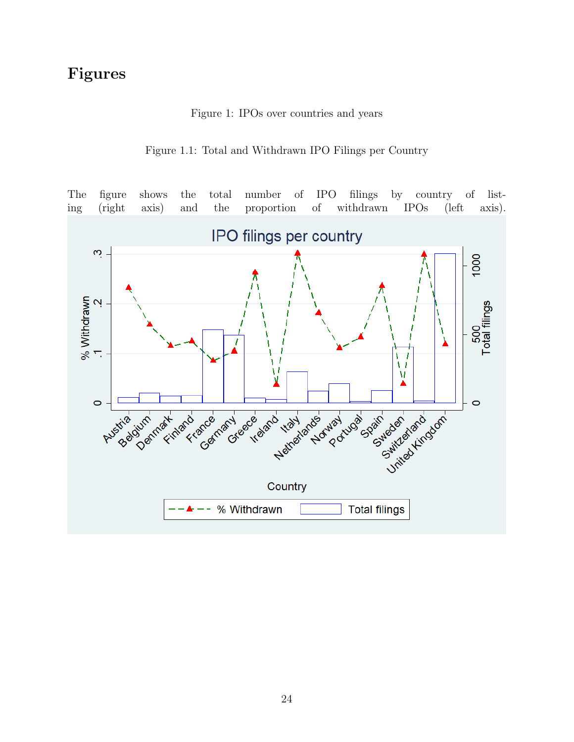# Figures

Figure 1: IPOs over countries and years

Figure 1.1: Total and Withdrawn IPO Filings per Country

<span id="page-24-0"></span>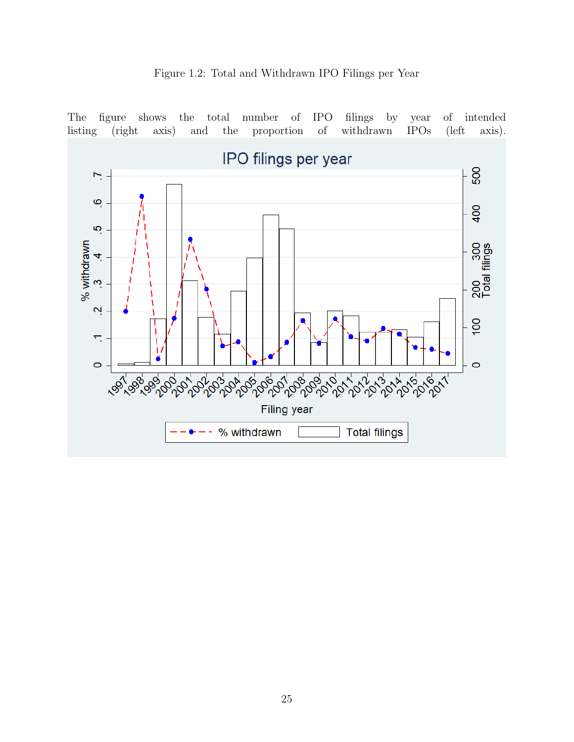<span id="page-25-0"></span>

# Figure 1.2: Total and Withdrawn IPO Filings per Year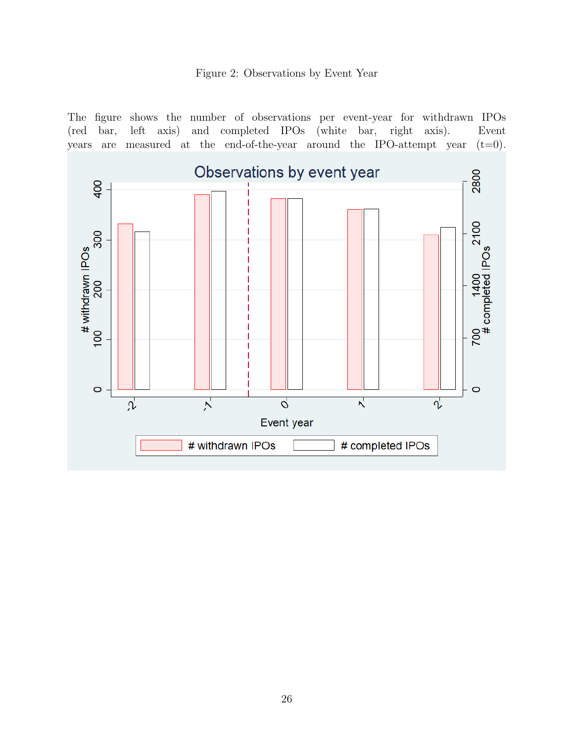## Figure 2: Observations by Event Year

<span id="page-26-0"></span>The figure shows the number of observations per event-year for withdrawn IPOs (red bar, left axis) and completed IPOs (white bar, right axis). Event years are measured at the end-of-the-year around the IPO-attempt year  $(t=0)$ .

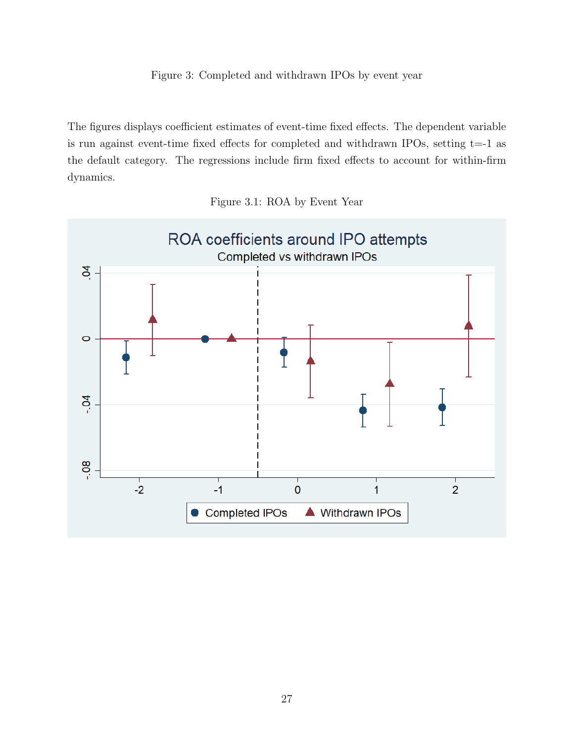# Figure 3: Completed and withdrawn IPOs by event year

The figures displays coefficient estimates of event-time fixed effects. The dependent variable is run against event-time fixed effects for completed and withdrawn IPOs, setting  $t=1$  as the default category. The regressions include firm fixed effects to account for within-firm dynamics.

<span id="page-27-0"></span>

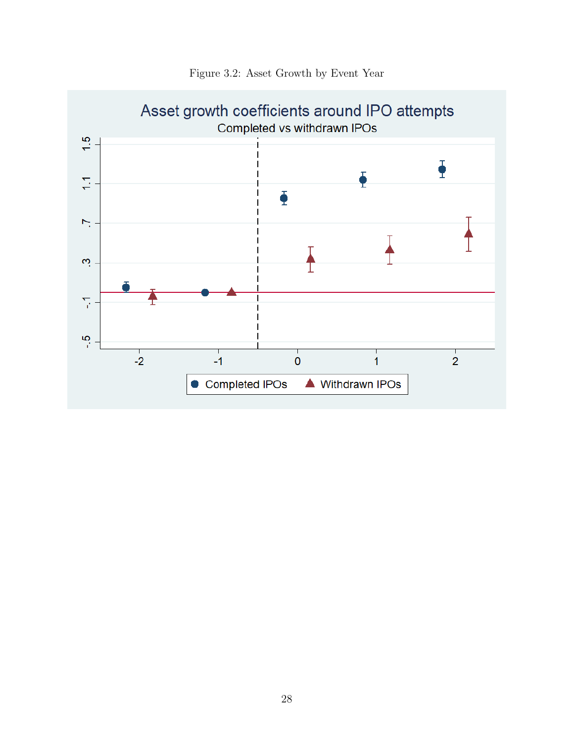<span id="page-28-0"></span>

Figure 3.2: Asset Growth by Event Year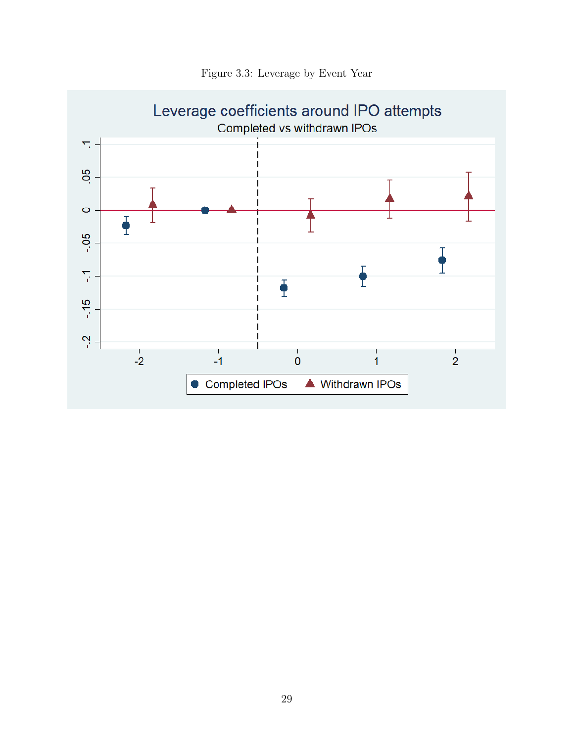<span id="page-29-0"></span>

Figure 3.3: Leverage by Event Year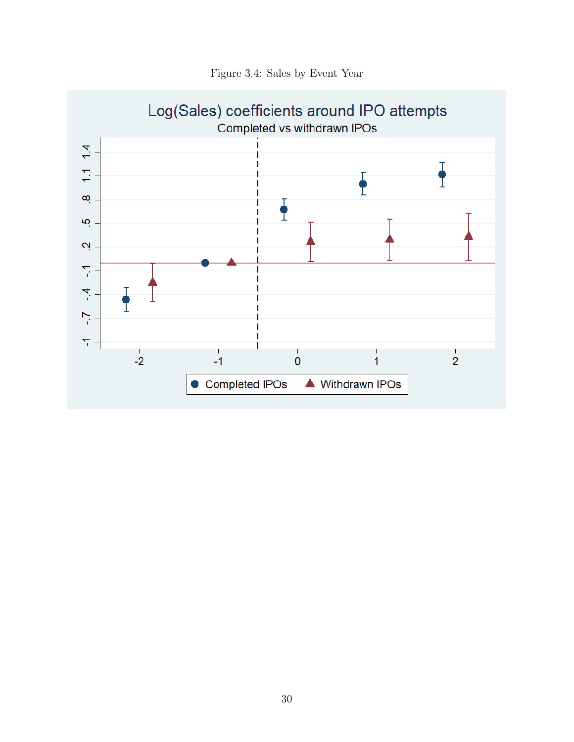

<span id="page-30-0"></span>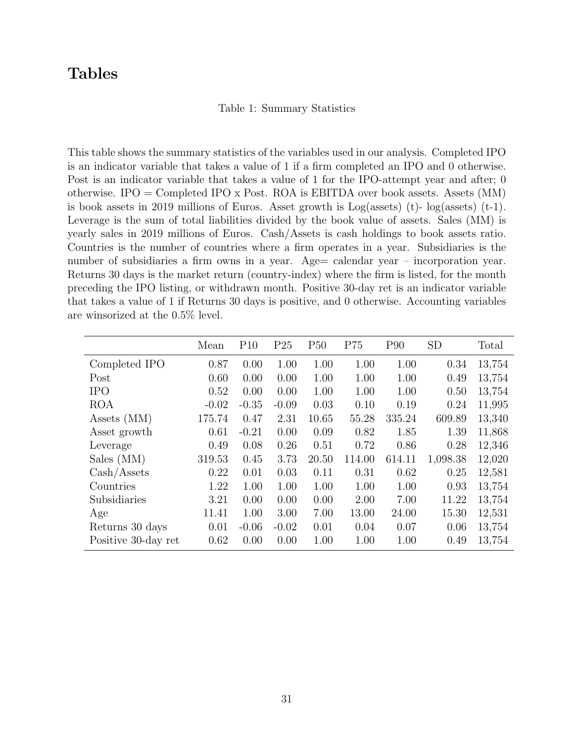# <span id="page-31-0"></span>Tables

### Table 1: Summary Statistics

This table shows the summary statistics of the variables used in our analysis. Completed IPO is an indicator variable that takes a value of 1 if a firm completed an IPO and 0 otherwise. Post is an indicator variable that takes a value of 1 for the IPO-attempt year and after; 0 otherwise. IPO = Completed IPO x Post. ROA is EBITDA over book assets. Assets  $(MM)$ is book assets in 2019 millions of Euros. Asset growth is Log(assets) (t)- log(assets) (t-1). Leverage is the sum of total liabilities divided by the book value of assets. Sales (MM) is yearly sales in 2019 millions of Euros. Cash/Assets is cash holdings to book assets ratio. Countries is the number of countries where a firm operates in a year. Subsidiaries is the number of subsidiaries a firm owns in a year. Age= calendar year – incorporation year. Returns 30 days is the market return (country-index) where the firm is listed, for the month preceding the IPO listing, or withdrawn month. Positive 30-day ret is an indicator variable that takes a value of 1 if Returns 30 days is positive, and 0 otherwise. Accounting variables are winsorized at the 0.5% level.

|                     | Mean    | P10     | P <sub>25</sub> | P <sub>50</sub> | P75    | P <sub>90</sub> | <b>SD</b> | Total  |
|---------------------|---------|---------|-----------------|-----------------|--------|-----------------|-----------|--------|
| Completed IPO       | 0.87    | 0.00    | 1.00            | 1.00            | 1.00   | 1.00            | 0.34      | 13,754 |
| Post                | 0.60    | 0.00    | 0.00            | 1.00            | 1.00   | 1.00            | 0.49      | 13,754 |
| <b>IPO</b>          | 0.52    | 0.00    | 0.00            | 1.00            | 1.00   | 1.00            | 0.50      | 13,754 |
| <b>ROA</b>          | $-0.02$ | $-0.35$ | $-0.09$         | 0.03            | 0.10   | 0.19            | 0.24      | 11,995 |
| Assets (MM)         | 175.74  | 0.47    | 2.31            | 10.65           | 55.28  | 335.24          | 609.89    | 13,340 |
| Asset growth        | 0.61    | $-0.21$ | 0.00            | 0.09            | 0.82   | 1.85            | 1.39      | 11,868 |
| Leverage            | 0.49    | 0.08    | 0.26            | 0.51            | 0.72   | 0.86            | 0.28      | 12,346 |
| Sales (MM)          | 319.53  | 0.45    | 3.73            | 20.50           | 114.00 | 614.11          | 1,098.38  | 12,020 |
| Cash/Assets         | 0.22    | 0.01    | 0.03            | 0.11            | 0.31   | 0.62            | 0.25      | 12,581 |
| Countries           | 1.22    | 1.00    | 1.00            | 1.00            | 1.00   | 1.00            | 0.93      | 13,754 |
| Subsidiaries        | 3.21    | 0.00    | 0.00            | 0.00            | 2.00   | 7.00            | 11.22     | 13,754 |
| Age                 | 11.41   | 1.00    | 3.00            | 7.00            | 13.00  | 24.00           | 15.30     | 12,531 |
| Returns 30 days     | 0.01    | $-0.06$ | $-0.02$         | 0.01            | 0.04   | 0.07            | 0.06      | 13,754 |
| Positive 30-day ret | 0.62    | 0.00    | 0.00            | 1.00            | 1.00   | 1.00            | 0.49      | 13,754 |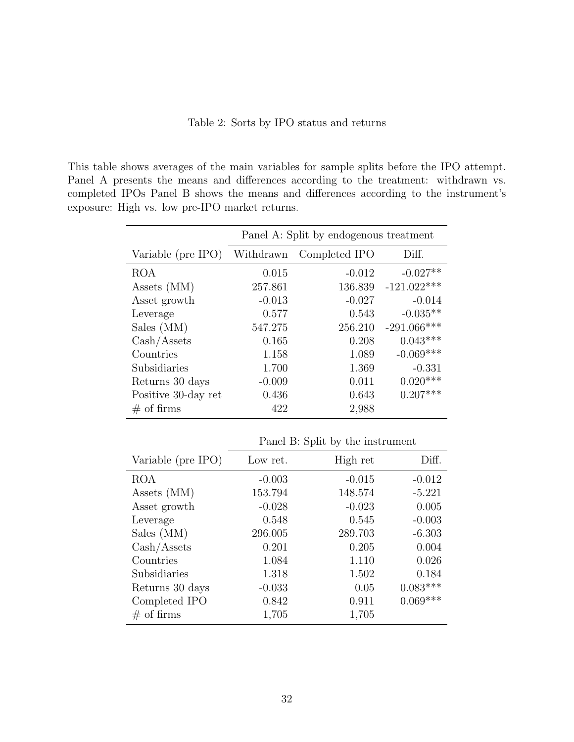Table 2: Sorts by IPO status and returns

<span id="page-32-0"></span>This table shows averages of the main variables for sample splits before the IPO attempt. Panel A presents the means and differences according to the treatment: withdrawn vs. completed IPOs Panel B shows the means and differences according to the instrument's exposure: High vs. low pre-IPO market returns.

|                     | Panel A: Split by endogenous treatment |               |                 |  |  |  |
|---------------------|----------------------------------------|---------------|-----------------|--|--|--|
| Variable (pre IPO)  | Withdrawn                              | Completed IPO | Diff.           |  |  |  |
| <b>ROA</b>          | 0.015                                  | $-0.012$      | $-0.027**$      |  |  |  |
| Assets (MM)         | 257.861                                | 136.839       | $-121.022***$   |  |  |  |
| Asset growth        | $-0.013$                               | $-0.027$      | $-0.014$        |  |  |  |
| Leverage            | 0.577                                  | 0.543         | $-0.035**$      |  |  |  |
| Sales (MM)          | 547.275                                | 256.210       | $-291.066***$   |  |  |  |
| Cash/Assets         | 0.165                                  | 0.208         | $0.043***$      |  |  |  |
| Countries           | 1.158                                  | 1.089         | $-0.069***$     |  |  |  |
| Subsidiaries        | 1.700                                  | 1.369         | $-0.331$        |  |  |  |
| Returns 30 days     | $-0.009$                               | 0.011         | $0.020^{***}\,$ |  |  |  |
| Positive 30-day ret | 0.436                                  | 0.643         | $0.207***$      |  |  |  |
| $\#$ of firms       | 422                                    | 2,988         |                 |  |  |  |

Panel B: Split by the instrument

| Variable (pre IPO) | Low ret. | High ret | Diff.           |
|--------------------|----------|----------|-----------------|
| <b>ROA</b>         | $-0.003$ | $-0.015$ | $-0.012$        |
| Assets (MM)        | 153.794  | 148.574  | $-5.221$        |
| Asset growth       | $-0.028$ | $-0.023$ | 0.005           |
| Leverage           | 0.548    | 0.545    | $-0.003$        |
| Sales (MM)         | 296.005  | 289.703  | $-6.303$        |
| Cash/Assets        | 0.201    | 0.205    | 0.004           |
| Countries          | 1.084    | 1.110    | 0.026           |
| Subsidiaries       | 1.318    | 1.502    | 0.184           |
| Returns 30 days    | $-0.033$ | 0.05     | $0.083^{***}\,$ |
| Completed IPO      | 0.842    | 0.911    | $0.069***$      |
| $\#$ of firms      | 1,705    | 1,705    |                 |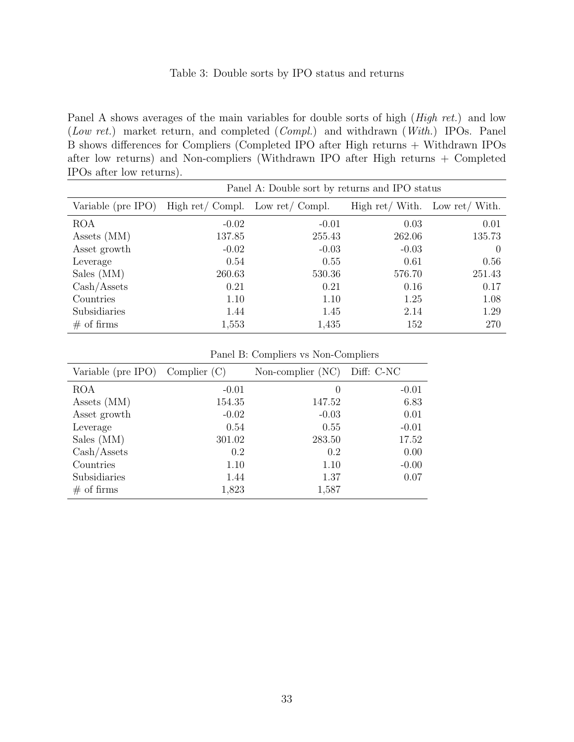# Table 3: Double sorts by IPO status and returns

<span id="page-33-0"></span>Panel A shows averages of the main variables for double sorts of high (*High ret.*) and low (Low ret.) market return, and completed (Compl.) and withdrawn (With.) IPOs. Panel B shows differences for Compliers (Completed IPO after High returns + Withdrawn IPOs after low returns) and Non-compliers (Withdrawn IPO after High returns + Completed IPOs after low returns).

|                    | Panel A: Double sort by returns and IPO status |         |                                |        |  |  |  |  |  |
|--------------------|------------------------------------------------|---------|--------------------------------|--------|--|--|--|--|--|
| Variable (pre IPO) | High ret/ Compl. Low ret/ Compl.               |         | High ret/ With. Low ret/ With. |        |  |  |  |  |  |
| <b>ROA</b>         | $-0.02$                                        | $-0.01$ | 0.03                           | 0.01   |  |  |  |  |  |
| Assets (MM)        | 137.85                                         | 255.43  | 262.06                         | 135.73 |  |  |  |  |  |
| Asset growth       | $-0.02$                                        | $-0.03$ | $-0.03$                        | 0      |  |  |  |  |  |
| Leverage           | 0.54                                           | 0.55    | 0.61                           | 0.56   |  |  |  |  |  |
| Sales (MM)         | 260.63                                         | 530.36  | 576.70                         | 251.43 |  |  |  |  |  |
| Cash/Assets        | 0.21                                           | 0.21    | 0.16                           | 0.17   |  |  |  |  |  |
| Countries          | 1.10                                           | 1.10    | 1.25                           | 1.08   |  |  |  |  |  |
| Subsidiaries       | 1.44                                           | 1.45    | 2.14                           | 1.29   |  |  |  |  |  |
| $\#$ of firms      | 1,553                                          | 1,435   | 152                            | 270    |  |  |  |  |  |

Panel B: Compliers vs Non-Compliers

| Variable (pre IPO) | Complier $(C)$ | Non-complier (NC) | Diff: C-NC |
|--------------------|----------------|-------------------|------------|
| <b>ROA</b>         | $-0.01$        | $\theta$          | $-0.01$    |
| Assets (MM)        | 154.35         | 147.52            | 6.83       |
| Asset growth       | $-0.02$        | $-0.03$           | 0.01       |
| Leverage           | 0.54           | 0.55              | $-0.01$    |
| Sales (MM)         | 301.02         | 283.50            | 17.52      |
| Cash/Assets        | 0.2            | 0.2               | 0.00       |
| Countries          | 1.10           | 1.10              | $-0.00$    |
| Subsidiaries       | 1.44           | 1.37              | 0.07       |
| $\#$ of firms      | 1,823          | 1,587             |            |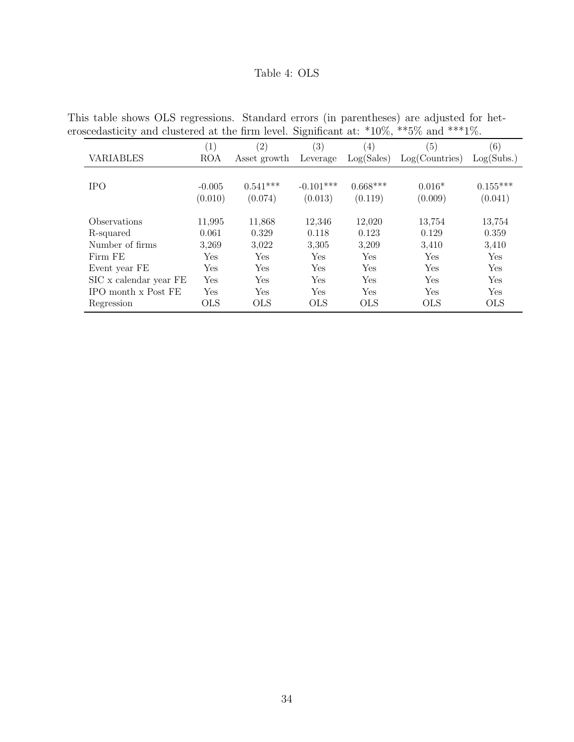# Table 4: OLS

| roscedasticity and clustered at the firm level. Significant at: " $10\%$ , "" $5\%$ and """ $1\%$ . |            |              |             |                  |                |            |
|-----------------------------------------------------------------------------------------------------|------------|--------------|-------------|------------------|----------------|------------|
|                                                                                                     | (1)        | (2)          | (3)         | $\left(4\right)$ | (5)            | (6)        |
| <b>VARIABLES</b>                                                                                    | <b>ROA</b> | Asset growth | Leverage    | Log(Sales)       | Log(Countries) | Log(Subs.) |
|                                                                                                     |            |              |             |                  |                |            |
| <b>IPO</b>                                                                                          | $-0.005$   | $0.541***$   | $-0.101***$ | $0.668***$       | $0.016*$       | $0.155***$ |
|                                                                                                     | (0.010)    | (0.074)      | (0.013)     | (0.119)          | (0.009)        | (0.041)    |
|                                                                                                     |            |              |             |                  |                |            |
| Observations                                                                                        | 11,995     | 11,868       | 12,346      | 12,020           | 13,754         | 13,754     |
| R-squared                                                                                           | 0.061      | 0.329        | 0.118       | 0.123            | 0.129          | 0.359      |
| Number of firms                                                                                     | 3,269      | 3,022        | 3,305       | 3,209            | 3,410          | 3,410      |
| Firm FE                                                                                             | Yes        | Yes          | Yes         | Yes              | Yes            | Yes        |
| Event year FE                                                                                       | Yes        | Yes          | Yes         | Yes              | Yes            | Yes        |
| SIC x calendar year FE                                                                              | Yes        | Yes          | Yes         | Yes              | Yes            | Yes        |
| IPO month x Post FE                                                                                 | Yes        | Yes          | Yes         | Yes              | Yes            | Yes        |
| Regression                                                                                          | <b>OLS</b> | <b>OLS</b>   | <b>OLS</b>  | <b>OLS</b>       | <b>OLS</b>     | <b>OLS</b> |
|                                                                                                     |            |              |             |                  |                |            |

<span id="page-34-0"></span>This table shows OLS regressions. Standard errors (in parentheses) are adjusted for heteroscedasticity and clustered at the firm level. Significant at: \*10%, \*\*5% and \*\*\*1%.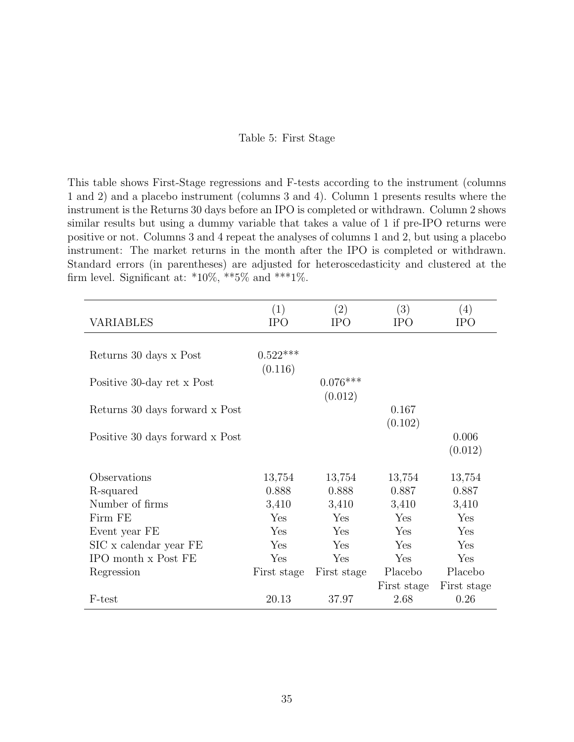### Table 5: First Stage

<span id="page-35-0"></span>This table shows First-Stage regressions and F-tests according to the instrument (columns 1 and 2) and a placebo instrument (columns 3 and 4). Column 1 presents results where the instrument is the Returns 30 days before an IPO is completed or withdrawn. Column 2 shows similar results but using a dummy variable that takes a value of 1 if pre-IPO returns were positive or not. Columns 3 and 4 repeat the analyses of columns 1 and 2, but using a placebo instrument: The market returns in the month after the IPO is completed or withdrawn. Standard errors (in parentheses) are adjusted for heteroscedasticity and clustered at the firm level. Significant at:  $*10\%, **5\%$  and  $***1\%.$ 

|                                 | (1)         | $\left( 2\right)$ | (3)         | (4)         |
|---------------------------------|-------------|-------------------|-------------|-------------|
| <b>VARIABLES</b>                | <b>IPO</b>  | <b>IPO</b>        | <b>IPO</b>  | <b>IPO</b>  |
|                                 |             |                   |             |             |
| Returns 30 days x Post          | $0.522***$  |                   |             |             |
|                                 | (0.116)     |                   |             |             |
| Positive 30-day ret x Post      |             | $0.076***$        |             |             |
|                                 |             | (0.012)           |             |             |
| Returns 30 days forward x Post  |             |                   | 0.167       |             |
|                                 |             |                   | (0.102)     |             |
| Positive 30 days forward x Post |             |                   |             | 0.006       |
|                                 |             |                   |             | (0.012)     |
| Observations                    | 13,754      | 13,754            | 13,754      | 13,754      |
| R-squared                       | 0.888       | 0.888             | 0.887       | 0.887       |
| Number of firms                 | 3,410       | 3,410             | 3,410       | 3,410       |
| Firm FE                         | Yes         | Yes               | Yes         | Yes         |
| Event year FE                   | Yes         | Yes               | Yes         | Yes         |
| SIC x calendar year FE          | Yes         | Yes               | Yes         | Yes         |
| IPO month x Post FE             | Yes         | Yes               | Yes         | Yes         |
| Regression                      | First stage | First stage       | Placebo     | Placebo     |
|                                 |             |                   | First stage | First stage |
| F-test                          | 20.13       | 37.97             | 2.68        | 0.26        |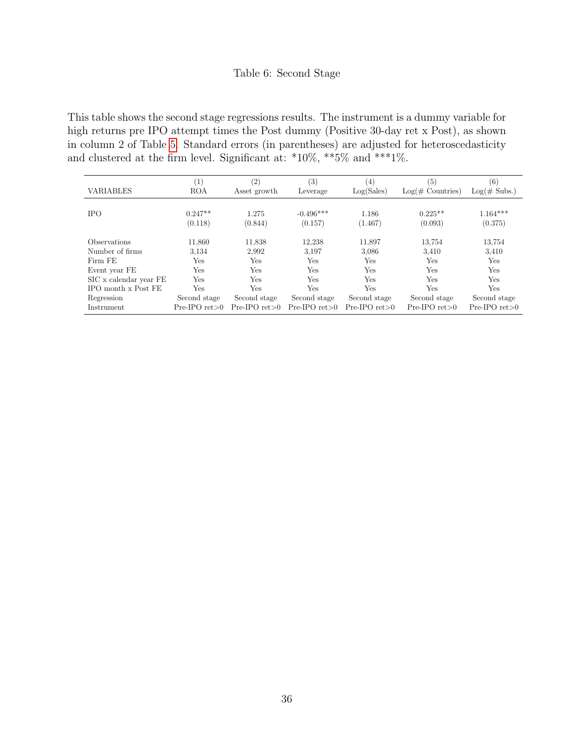# Table 6: Second Stage

<span id="page-36-0"></span>This table shows the second stage regressions results. The instrument is a dummy variable for high returns pre IPO attempt times the Post dummy (Positive 30-day ret x Post), as shown in column 2 of Table [5.](#page-35-0) Standard errors (in parentheses) are adjusted for heteroscedasticity and clustered at the firm level. Significant at:  $*10\%, **5\%$  and  $***1\%$ .

| <b>VARIABLES</b>           | $\left( \begin{smallmatrix} 1 \end{smallmatrix} \right)$<br><b>ROA</b> | $\left( 2\right)$<br>Asset growth | (3)<br>Leverage        | (4)<br>Log(Sales)  | (5)<br>$Log(\# Countries)$ | (6)<br>$Log(\# Subs.)$ |
|----------------------------|------------------------------------------------------------------------|-----------------------------------|------------------------|--------------------|----------------------------|------------------------|
| <b>IPO</b>                 | $0.247**$<br>(0.118)                                                   | 1.275<br>(0.844)                  | $-0.496***$<br>(0.157) | 1.186<br>(1.467)   | $0.225**$<br>(0.093)       | $1.164***$<br>(0.375)  |
| <i><b>Observations</b></i> | 11.860                                                                 | 11,838                            | 12.238                 | 11,897             | 13,754                     | 13.754                 |
| Number of firms            | 3.134                                                                  | 2,992                             | 3,197                  | 3,086              | 3.410                      | 3,410                  |
|                            |                                                                        |                                   |                        |                    |                            |                        |
| Firm FE                    | Yes                                                                    | Yes                               | Yes                    | Yes.               | Yes                        | Yes                    |
| Event year FE              | Yes                                                                    | Yes                               | Yes                    | Yes                | Yes                        | Yes                    |
| SIC x calendar year FE     | Yes                                                                    | Yes                               | Yes                    | Yes                | Yes.                       | Yes                    |
| IPO month x Post FE        | Yes                                                                    | Yes                               | Yes                    | Yes                | Yes                        | Yes                    |
| Regression                 | Second stage                                                           | Second stage                      | Second stage           | Second stage       | Second stage               | Second stage           |
| Instrument                 | $Pre-IPO$ ret $>0$                                                     | $Pre-IPO$ ret $>0$                | $Pre-IPO$ ret $>0$     | $Pre-IPO$ ret $>0$ | $Pre-IPO$ ret $>0$         | $Pre-IPO$ ret $>0$     |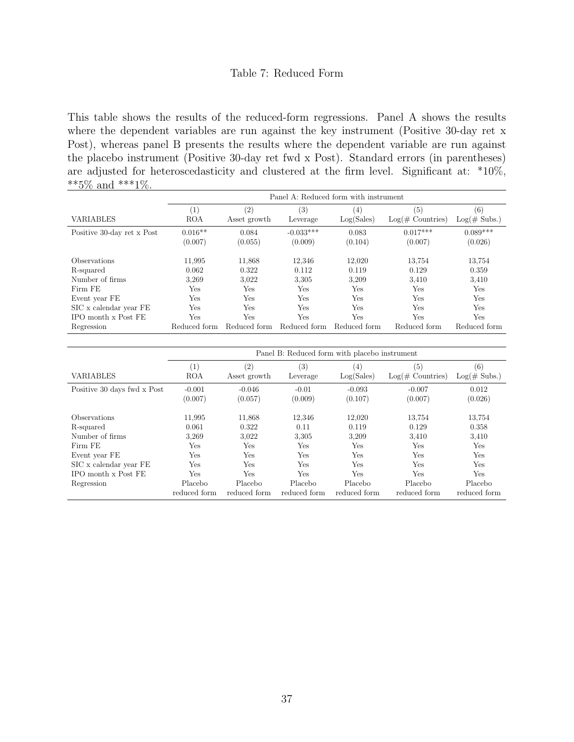# Table 7: Reduced Form

<span id="page-37-0"></span>This table shows the results of the reduced-form regressions. Panel A shows the results where the dependent variables are run against the key instrument (Positive 30-day ret x Post), whereas panel B presents the results where the dependent variable are run against the placebo instrument (Positive 30-day ret fwd x Post). Standard errors (in parentheses) are adjusted for heteroscedasticity and clustered at the firm level. Significant at: \*10%, \*\*5% and \*\*\*1%.

|                            |                   | Panel A: Reduced form with instrument |                   |              |                     |                 |  |
|----------------------------|-------------------|---------------------------------------|-------------------|--------------|---------------------|-----------------|--|
| <b>VARIABLES</b>           | $\left( 1\right)$ | $\left( 2\right)$                     | $\left( 3\right)$ | (4)          | (5)                 | (6)             |  |
|                            | <b>ROA</b>        | Asset growth                          | Leverage          | Log(Sales)   | $Log(\#$ Countries) | $Log(\# Subs.)$ |  |
| Positive 30-day ret x Post | $0.016**$         | 0.084                                 | $-0.033***$       | 0.083        | $0.017***$          | $0.089***$      |  |
|                            | (0.007)           | (0.055)                               | (0.009)           | (0.104)      | (0.007)             | (0.026)         |  |
| <b>Observations</b>        | 11,995            | 11.868                                | 12,346            | 12,020       | 13,754              | 13.754          |  |
| R-squared                  | 0.062             | 0.322                                 | 0.112             | 0.119        | 0.129               | 0.359           |  |
| Number of firms            | 3.269             | 3.022                                 | 3.305             | 3,209        | 3.410               | 3,410           |  |
| Firm FE                    | Yes               | Yes                                   | Yes               | Yes          | Yes                 | Yes             |  |
| Event year FE              | Yes               | Yes                                   | Yes               | Yes          | Yes                 | Yes             |  |
| SIC x calendar year FE     | Yes               | Yes                                   | Yes               | Yes          | Yes                 | Yes             |  |
| IPO month x Post FE        | Yes               | Yes                                   | Yes               | Yes          | Yes                 | Yes             |  |
| Regression                 | Reduced form      | Reduced form                          | Reduced form      | Reduced form | Reduced form        | Reduced form    |  |

|                             | Panel B: Reduced form with placebo instrument |                     |                              |                                 |                            |                        |
|-----------------------------|-----------------------------------------------|---------------------|------------------------------|---------------------------------|----------------------------|------------------------|
| <b>VARIABLES</b>            | (1)<br><b>ROA</b>                             | (2)<br>Asset growth | $\left(3\right)$<br>Leverage | $\left( 4\right)$<br>Log(Sales) | (5)<br>$Log(\# Countries)$ | (6)<br>$Log(\# Subs.)$ |
| Positive 30 days fwd x Post | $-0.001$<br>(0.007)                           | $-0.046$<br>(0.057) | $-0.01$<br>(0.009)           | $-0.093$<br>(0.107)             | $-0.007$<br>(0.007)        | 0.012<br>(0.026)       |
| <i><b>Observations</b></i>  | 11,995                                        | 11.868              | 12,346                       | 12,020                          | 13,754                     | 13.754                 |
| R-squared                   | 0.061                                         | 0.322               | 0.11                         | 0.119                           | 0.129                      | 0.358                  |
| Number of firms             | 3.269                                         | 3,022               | 3.305                        | 3,209                           | 3.410                      | 3,410                  |
| Firm FE                     | Yes                                           | Yes                 | Yes                          | Yes                             | Yes                        | Yes                    |
| Event year FE               | Yes                                           | Yes                 | Yes                          | Yes                             | Yes                        | Yes                    |
| SIC x calendar year FE      | Yes                                           | Yes                 | Yes                          | Yes                             | Yes                        | Yes                    |
| IPO month x Post FE         | Yes                                           | Yes                 | Yes                          | Yes                             | Yes                        | Yes                    |
| Regression                  | Placebo                                       | Placebo             | Placebo                      | Placebo                         | Placebo                    | Placebo                |
|                             | reduced form                                  | reduced form        | reduced form                 | reduced form                    | reduced form               | reduced form           |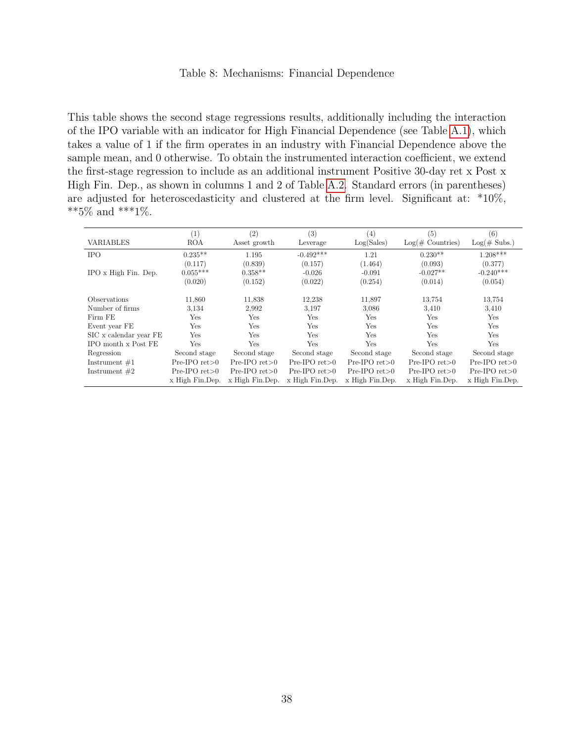### Table 8: Mechanisms: Financial Dependence

<span id="page-38-0"></span>This table shows the second stage regressions results, additionally including the interaction of the IPO variable with an indicator for High Financial Dependence (see Table [A.1\)](#page-43-0), which takes a value of 1 if the firm operates in an industry with Financial Dependence above the sample mean, and 0 otherwise. To obtain the instrumented interaction coefficient, we extend the first-stage regression to include as an additional instrument Positive 30-day ret x Post x High Fin. Dep., as shown in columns 1 and 2 of Table [A.2.](#page-44-0) Standard errors (in parentheses) are adjusted for heteroscedasticity and clustered at the firm level. Significant at: \*10%, \*\*5% and \*\*\*1%.

|                            | (1)                | (2)                | (3)                | (4)                | (5)                 | (6)             |
|----------------------------|--------------------|--------------------|--------------------|--------------------|---------------------|-----------------|
| <b>VARIABLES</b>           | <b>ROA</b>         | Asset growth       | Leverage           | Log(Sales)         | $Log(\#$ Countries) | $Log(\# Subs.)$ |
| <b>IPO</b>                 | $0.235**$          | 1.195              | $-0.492***$        | 1.21               | $0.230**$           | $1.208***$      |
|                            | (0.117)            | (0.839)            | (0.157)            | (1.464)            | (0.093)             | (0.377)         |
| IPO x High Fin. Dep.       | $0.055***$         | $0.358**$          | $-0.026$           | $-0.091$           | $-0.027**$          | $-0.240***$     |
|                            | (0.020)            | (0.152)            | (0.022)            | (0.254)            | (0.014)             | (0.054)         |
| <i><b>Observations</b></i> | 11,860             | 11,838             | 12,238             | 11,897             | 13,754              | 13,754          |
| Number of firms            | 3.134              | 2,992              | 3.197              | 3,086              | 3,410               | 3,410           |
| Firm FE                    | <b>Yes</b>         | Yes                | <b>Yes</b>         | Yes.               | <b>Yes</b>          | <b>Yes</b>      |
| Event year FE              | Yes                | Yes                | Yes                | <b>Yes</b>         | Yes                 | Yes             |
| SIC x calendar year FE     | Yes                | Yes                | Yes                | <b>Yes</b>         | Yes                 | <b>Yes</b>      |
| IPO month x Post FE        | Yes                | Yes                | Yes                | Yes                | Yes                 | Yes             |
| Regression                 | Second stage       | Second stage       | Second stage       | Second stage       | Second stage        | Second stage    |
| Instrument $#1$            | $Pre-IPO$ ret $>0$ | $Pre-IPO$ ret $>0$ | $Pre-IPO$ ret $>0$ | $Pre-IPO$ ret $>0$ | $Pre-IPO$ ret $>0$  | Pre-IPO $ret>0$ |
| Instrument $#2$            | $Pre-IPO$ ret $>0$ | $Pre-IPO$ ret $>0$ | $Pre-IPO$ ret $>0$ | $Pre-IPO$ ret $>0$ | $Pre-IPO$ ret $>0$  | Pre-IPO $ret>0$ |
|                            | x High Fin.Dep.    | x High Fin.Dep.    | x High Fin.Dep.    | x High Fin.Dep.    | x High Fin.Dep.     | x High Fin.Dep. |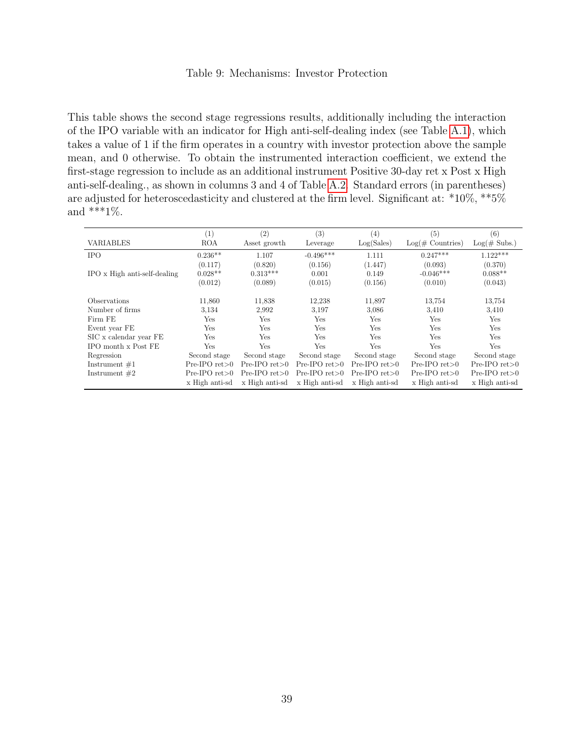### Table 9: Mechanisms: Investor Protection

<span id="page-39-0"></span>This table shows the second stage regressions results, additionally including the interaction of the IPO variable with an indicator for High anti-self-dealing index (see Table [A.1\)](#page-43-0), which takes a value of 1 if the firm operates in a country with investor protection above the sample mean, and 0 otherwise. To obtain the instrumented interaction coefficient, we extend the first-stage regression to include as an additional instrument Positive 30-day ret x Post x High anti-self-dealing., as shown in columns 3 and 4 of Table [A.2.](#page-44-0) Standard errors (in parentheses) are adjusted for heteroscedasticity and clustered at the firm level. Significant at: \*10%, \*\*5% and \*\*\* $1\%$ .

| <b>VARIABLES</b>             | (1)<br><b>ROA</b>  | (2)<br>Asset growth | (3)<br>Leverage    | (4)<br>Log(Sales)  | $\left( 5\right)$<br>$Log(\#$ Countries) | (6)<br>$Log(\# Subs.)$ |
|------------------------------|--------------------|---------------------|--------------------|--------------------|------------------------------------------|------------------------|
|                              |                    |                     |                    |                    |                                          |                        |
| <b>IPO</b>                   | $0.236**$          | 1.107               | $-0.496***$        | 1.111              | $0.247***$                               | $1.122***$             |
|                              | (0.117)            | (0.820)             | (0.156)            | (1.447)            | (0.093)                                  | (0.370)                |
| IPO x High anti-self-dealing | $0.028**$          | $0.313***$          | 0.001              | 0.149              | $-0.046***$                              | $0.088**$              |
|                              | (0.012)            | (0.089)             | (0.015)            | (0.156)            | (0.010)                                  | (0.043)                |
|                              |                    |                     |                    |                    |                                          |                        |
| <b>Observations</b>          | 11,860             | 11,838              | 12,238             | 11,897             | 13,754                                   | 13.754                 |
| Number of firms              | 3.134              | 2,992               | 3.197              | 3.086              | 3.410                                    | 3.410                  |
| Firm FE                      | Yes                | Yes                 | Yes                | Yes                | Yes                                      | Yes                    |
| Event year FE                | Yes                | Yes                 | Yes                | Yes                | <b>Yes</b>                               | Yes                    |
| SIC x calendar year FE       | <b>Yes</b>         | <b>Yes</b>          | Yes                | Yes                | <b>Yes</b>                               | Yes                    |
| IPO month x Post FE          | Yes                | Yes                 | Yes                | Yes                | <b>Yes</b>                               | <b>Yes</b>             |
| Regression                   | Second stage       | Second stage        | Second stage       | Second stage       | Second stage                             | Second stage           |
| Instrument $#1$              | $Pre-IPO$ ret $>0$ | $Pre-IPO$ ret $>0$  | $Pre-IPO$ ret $>0$ | $Pre-IPO$ ret $>0$ | $Pre-IPO$ ret $>0$                       | $Pre-IPO$ ret $>0$     |
| Instrument $#2$              | $Pre-IPO$ ret $>0$ | $Pre-IPO$ ret $>0$  | $Pre-IPO$ ret $>0$ | $Pre-IPO$ ret $>0$ | $Pre-IPO$ ret $>0$                       | Pre-IPO $ret>0$        |
|                              | x High anti-sd     | x High anti-sd      | x High anti-sd     | x High anti-sd     | x High anti-sd                           | x High anti-sd         |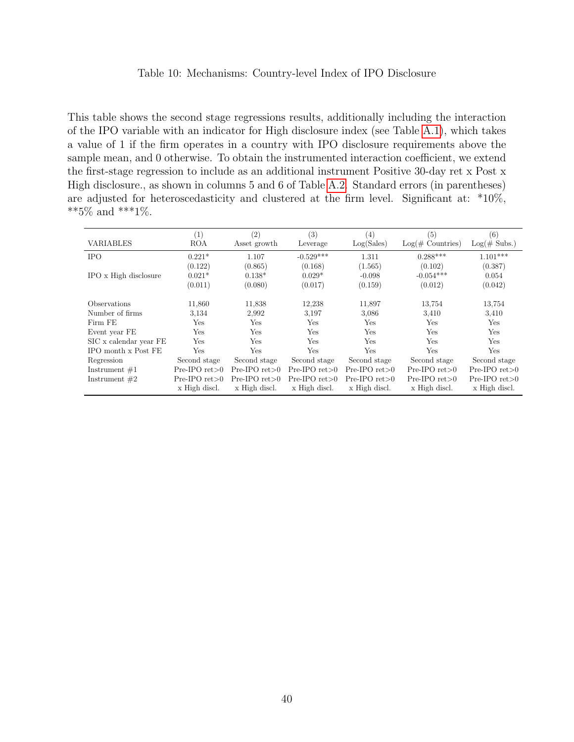#### Table 10: Mechanisms: Country-level Index of IPO Disclosure

<span id="page-40-0"></span>This table shows the second stage regressions results, additionally including the interaction of the IPO variable with an indicator for High disclosure index (see Table [A.1\)](#page-43-0), which takes a value of 1 if the firm operates in a country with IPO disclosure requirements above the sample mean, and 0 otherwise. To obtain the instrumented interaction coefficient, we extend the first-stage regression to include as an additional instrument Positive 30-day ret x Post x High disclosure., as shown in columns 5 and 6 of Table [A.2.](#page-44-0) Standard errors (in parentheses) are adjusted for heteroscedasticity and clustered at the firm level. Significant at: \*10%, \*\*5% and \*\*\*1%.

|                            | (1)                | (2)                | (3)                | (4)                | $\left( 5\right)$   | (6)                |
|----------------------------|--------------------|--------------------|--------------------|--------------------|---------------------|--------------------|
| <b>VARIABLES</b>           | <b>ROA</b>         | Asset growth       | Leverage           | Log(Sales)         | $Log(\#$ Countries) | $Log(\# Subs.)$    |
| <b>IPO</b>                 | $0.221*$           | 1.107              | $-0.529***$        | 1.311              | $0.288***$          | $1.101***$         |
|                            | (0.122)            | (0.865)            | (0.168)            | (1.565)            | (0.102)             | (0.387)            |
| IPO x High disclosure      | $0.021*$           | $0.138*$           | $0.029*$           | $-0.098$           | $-0.054***$         | 0.054              |
|                            | (0.011)            | (0.080)            | (0.017)            | (0.159)            | (0.012)             | (0.042)            |
|                            |                    |                    |                    |                    |                     |                    |
| <i><b>Observations</b></i> | 11,860             | 11,838             | 12,238             | 11,897             | 13,754              | 13,754             |
| Number of firms            | 3.134              | 2,992              | 3.197              | 3.086              | 3.410               | 3.410              |
| Firm FE                    | Yes                | <b>Yes</b>         | Yes                | <b>Yes</b>         | <b>Yes</b>          | <b>Yes</b>         |
| Event year FE              | Yes                | Yes                | Yes                | <b>Yes</b>         | Yes                 | Yes                |
| SIC x calendar year FE     | Yes                | Yes                | Yes                | <b>Yes</b>         | Yes                 | Yes                |
| IPO month x Post FE        | Yes                | <b>Yes</b>         | Yes                | <b>Yes</b>         | Yes                 | Yes                |
| Regression                 | Second stage       | Second stage       | Second stage       | Second stage       | Second stage        | Second stage       |
| Instrument $#1$            | $Pre-IPO$ ret $>0$ | $Pre-IPO$ ret $>0$ | $Pre-IPO$ ret $>0$ | $Pre-IPO$ ret $>0$ | $Pre-IPO$ ret $>0$  | $Pre-IPO$ ret $>0$ |
| Instrument $#2$            | $Pre-IPO$ ret $>0$ | $Pre-IPO$ ret $>0$ | $Pre-IPO$ ret $>0$ | $Pre-IPO$ ret $>0$ | $Pre-IPO$ ret $>0$  | $Pre-IPO$ ret $>0$ |
|                            | x High discl.      | x High discl.      | x High discl.      | x High discl.      | x High discl.       | x High discl.      |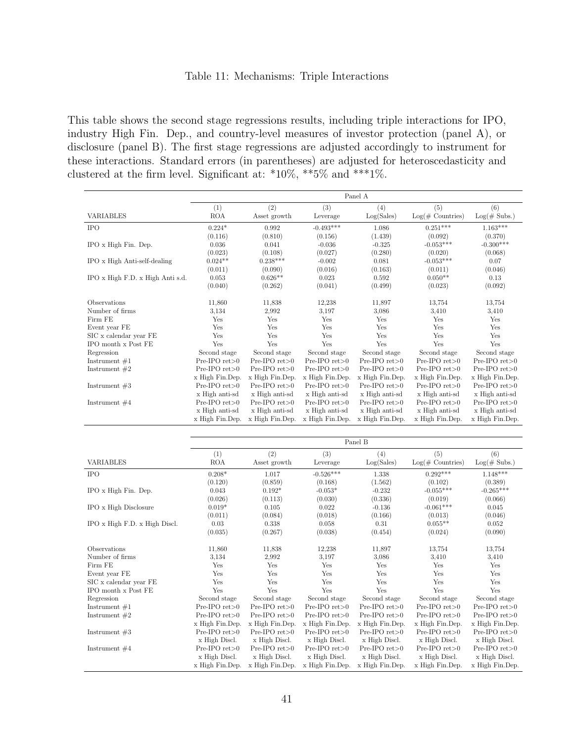### Table 11: Mechanisms: Triple Interactions

<span id="page-41-0"></span>This table shows the second stage regressions results, including triple interactions for IPO, industry High Fin. Dep., and country-level measures of investor protection (panel A), or disclosure (panel B). The first stage regressions are adjusted accordingly to instrument for these interactions. Standard errors (in parentheses) are adjusted for heteroscedasticity and clustered at the firm level. Significant at: \*10%, \*\*5% and \*\*\*1%.

|                                           | Panel A            |                    |                    |                    |                     |                    |
|-------------------------------------------|--------------------|--------------------|--------------------|--------------------|---------------------|--------------------|
|                                           | (1)                | (2)                | (3)                | (4)                | (5)                 | (6)                |
| <b>VARIABLES</b>                          | <b>ROA</b>         | Asset growth       | Leverage           | Log(Sales)         | $Log(\#$ Countries) | $Log(\# Subs.)$    |
| <b>IPO</b>                                | $0.224*$           | 0.992              | $-0.493***$        | 1.086              | $0.251***$          | $1.163***$         |
|                                           | (0.116)            | (0.810)            | (0.156)            | (1.439)            | (0.092)             | (0.370)            |
| IPO x High Fin. Dep.                      | 0.036              | 0.041              | $-0.036$           | $-0.325$           | $-0.053***$         | $-0.300***$        |
|                                           | (0.023)            | (0.108)            | (0.027)            | (0.280)            | (0.020)             | (0.068)            |
| IPO x High Anti-self-dealing              | $0.024**$          | $0.238***$         | $-0.002$           | 0.081              | $-0.053***$         | 0.07               |
|                                           | (0.011)            | (0.090)            | (0.016)            | (0.163)            | (0.011)             | (0.046)            |
| IPO x High F.D. x High Anti s.d.          | 0.053              | $0.626**$          | 0.023              | 0.592              | $0.050**$           | 0.13               |
|                                           | (0.040)            | (0.262)            | (0.041)            | (0.499)            | (0.023)             | (0.092)            |
| Observations                              | 11,860             | 11,838             | 12,238             | 11,897             | 13,754              | 13,754             |
| Number of firms                           | 3,134              | 2,992              | 3,197              | 3,086              | 3,410               | 3,410              |
| $\operatorname{Firm}$ $\operatorname{FE}$ | Yes                | Yes                | Yes                | Yes                | Yes                 | Yes                |
| Event year FE                             | Yes                | Yes                | Yes                | Yes                | Yes                 | Yes                |
| SIC x calendar year FE                    | Yes                | Yes                | Yes                | Yes                | Yes                 | Yes                |
| IPO month x Post FE                       | Yes                | Yes                | Yes                | Yes                | Yes                 | Yes                |
| Regression                                | Second stage       | Second stage       | Second stage       | Second stage       | Second stage        | Second stage       |
| Instrument $#1$                           | $Pre-IPO$ ret $>0$ | $Pre-IPO$ ret $>0$ | $Pre-IPO$ ret $>0$ | $Pre-IPO$ ret $>0$ | $Pre-IPO$ ret $>0$  | $Pre-IPO$ ret $>0$ |
| Instrument $#2$                           | $Pre-IPO$ ret $>0$ | $Pre-IPO$ ret $>0$ | $Pre-IPO$ ret $>0$ | $Pre-IPO$ ret $>0$ | $Pre-IPO$ ret $>0$  | $Pre-IPO$ ret $>0$ |
|                                           | x High Fin.Dep.    | x High Fin.Dep.    | x High Fin.Dep.    | x High Fin.Dep.    | x High Fin.Dep.     | x High Fin.Dep.    |
| Instrument $#3$                           | $Pre-IPO$ ret $>0$ | $Pre-IPO$ ret $>0$ | $Pre-IPO$ ret $>0$ | $Pre-IPO$ ret $>0$ | $Pre-IPO$ ret $>0$  | $Pre-IPO$ ret $>0$ |
|                                           | x High anti-sd     | x High anti-sd     | x High anti-sd     | x High anti-sd     | x High anti-sd      | x High anti-sd     |
| Instrument $#4$                           | Pre-IPO $ret>0$    | $Pre-IPO$ ret $>0$ | $Pre-IPO$ ret $>0$ | $Pre-IPO$ ret $>0$ | Pre-IPO $ret>0$     | Pre-IPO $ret>0$    |
|                                           | x High anti-sd     | x High anti-sd     | x High anti-sd     | x High anti-sd     | x High anti-sd      | x High anti-sd     |
|                                           | x High Fin.Dep.    | x High Fin.Dep.    | x High Fin.Dep.    | x High Fin.Dep.    | x High Fin.Dep.     | x High Fin.Dep.    |

|                               | Panel B            |                    |                    |                    |                     |                    |  |  |
|-------------------------------|--------------------|--------------------|--------------------|--------------------|---------------------|--------------------|--|--|
|                               | (1)                | (2)                | (3)                | (4)                | (5)                 | (6)                |  |  |
| <b>VARIABLES</b>              | <b>ROA</b>         | Asset growth       | Leverage           | Log(Sales)         | $Log(\#$ Countries) | $Log(\# Subs.)$    |  |  |
| <b>IPO</b>                    | $0.208*$           | 1.017              | $-0.526***$        | 1.338              | $0.292***$          | $1.148***$         |  |  |
|                               | (0.120)            | (0.859)            | (0.168)            | (1.562)            | (0.102)             | (0.389)            |  |  |
| IPO x High Fin. Dep.          | 0.043              | $0.192*$           | $-0.053*$          | $-0.232$           | $-0.055***$         | $-0.265***$        |  |  |
|                               | (0.026)            | (0.113)            | (0.030)            | (0.336)            | (0.019)             | (0.066)            |  |  |
| IPO x High Disclosure         | $0.019*$           | 0.105              | 0.022              | $-0.136$           | $-0.061***$         | 0.045              |  |  |
|                               | (0.011)            | (0.084)            | (0.018)            | (0.166)            | (0.013)             | (0.046)            |  |  |
| IPO x High F.D. x High Discl. | 0.03               | 0.338              | 0.058              | 0.31               | $0.055**$           | 0.052              |  |  |
|                               | (0.035)            | (0.267)            | (0.038)            | (0.454)            | (0.024)             | (0.090)            |  |  |
| Observations                  | 11,860             | 11,838             | 12,238             | 11,897             | 13,754              | 13,754             |  |  |
| Number of firms               | 3.134              | 2,992              | 3.197              | 3,086              | 3,410               | 3.410              |  |  |
| Firm FE                       | Yes                | Yes                | Yes                | Yes                | Yes                 | Yes                |  |  |
| Event year FE                 | Yes                | Yes                | Yes                | Yes                | Yes                 | Yes                |  |  |
| SIC x calendar year FE        | Yes                | Yes                | Yes                | Yes                | Yes                 | Yes                |  |  |
| IPO month x Post FE           | Yes                | Yes                | Yes                | Yes                | Yes                 | Yes                |  |  |
| Regression                    | Second stage       | Second stage       | Second stage       | Second stage       | Second stage        | Second stage       |  |  |
| Instrument $#1$               | $Pre-IPO$ ret $>0$ | $Pre-IPO$ ret $>0$ | $Pre-IPO$ ret $>0$ | $Pre-IPO$ ret $>0$ | $Pre-IPO$ ret $>0$  | $Pre-IPO$ ret $>0$ |  |  |
| Instrument $#2$               | $Pre-IPO$ ret $>0$ | $Pre-IPO$ ret $>0$ | $Pre-IPO$ ret $>0$ | $Pre-IPO$ ret $>0$ | $Pre-IPO$ ret $>0$  | $Pre-IPO$ ret $>0$ |  |  |
|                               | x High Fin.Dep.    | x High Fin.Dep.    | x High Fin.Dep.    | x High Fin.Dep.    | x High Fin.Dep.     | x High Fin.Dep.    |  |  |
| Instrument $#3$               | $Pre-IPO$ ret $>0$ | $Pre-IPO$ ret $>0$ | $Pre-IPO$ ret $>0$ | $Pre-IPO$ ret $>0$ | $Pre-IPO$ ret $>0$  | $Pre-IPO$ ret $>0$ |  |  |
|                               | x High Discl.      | x High Discl.      | x High Discl.      | x High Discl.      | x High Discl.       | x High Discl.      |  |  |
| Instrument $#4$               | $Pre-IPO$ ret $>0$ | $Pre-IPO$ ret $>0$ | $Pre-IPO$ ret $>0$ | $Pre-IPO$ ret $>0$ | $Pre-IPO$ ret $>0$  | $Pre-IPO$ ret $>0$ |  |  |
|                               | x High Discl.      | x High Discl.      | x High Discl.      | x High Discl.      | x High Discl.       | x High Discl.      |  |  |
|                               | x High Fin.Dep.    | x High Fin.Dep.    | x High Fin.Dep.    | x High Fin.Dep.    | x High Fin.Dep.     | x High Fin.Dep.    |  |  |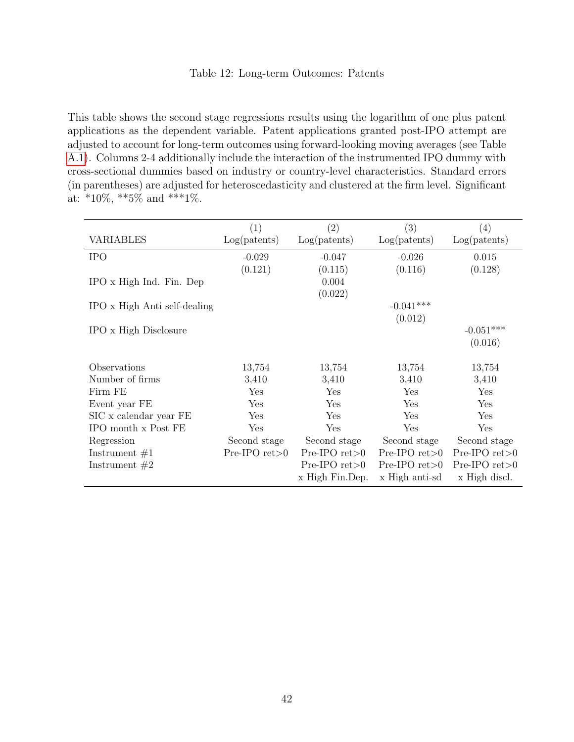### Table 12: Long-term Outcomes: Patents

<span id="page-42-0"></span>This table shows the second stage regressions results using the logarithm of one plus patent applications as the dependent variable. Patent applications granted post-IPO attempt are adjusted to account for long-term outcomes using forward-looking moving averages (see Table [A.1\)](#page-43-0). Columns 2-4 additionally include the interaction of the instrumented IPO dummy with cross-sectional dummies based on industry or country-level characteristics. Standard errors (in parentheses) are adjusted for heteroscedasticity and clustered at the firm level. Significant at: \*10%, \*\*5% and \*\*\*1%.

|                              | (1)             | $\left( 2\right)$  | (3)                | (4)             |
|------------------------------|-----------------|--------------------|--------------------|-----------------|
| <b>VARIABLES</b>             | Log(patents)    | Log(patents)       | Log(patents)       | Log(patents)    |
| <b>IPO</b>                   | $-0.029$        | $-0.047$           | $-0.026$           | 0.015           |
|                              | (0.121)         | (0.115)            | (0.116)            | (0.128)         |
| IPO x High Ind. Fin. Dep     |                 | 0.004              |                    |                 |
|                              |                 | (0.022)            |                    |                 |
| IPO x High Anti self-dealing |                 |                    | $-0.041***$        |                 |
|                              |                 |                    | (0.012)            |                 |
| IPO x High Disclosure        |                 |                    |                    | $-0.051***$     |
|                              |                 |                    |                    | (0.016)         |
|                              |                 |                    |                    |                 |
| Observations                 | 13,754          | 13,754             | 13,754             | 13,754          |
| Number of firms              | 3,410           | 3,410              | 3,410              | 3,410           |
| Firm FE                      | Yes             | Yes                | Yes                | Yes             |
| Event year FE                | Yes             | Yes                | Yes                | Yes             |
| SIC x calendar year FE       | Yes             | Yes                | Yes                | Yes             |
| IPO month x Post FE          | Yes             | Yes                | Yes                | Yes             |
| Regression                   | Second stage    | Second stage       | Second stage       | Second stage    |
| Instrument $#1$              | Pre-IPO $ret>0$ | $Pre-IPO$ ret $>0$ | $Pre-IPO$ ret $>0$ | Pre-IPO $ret>0$ |
| Instrument $#2$              |                 | $Pre-IPO$ ret $>0$ | Pre-IPO $ret>0$    | Pre-IPO $ret>0$ |
|                              |                 | x High Fin.Dep.    | x High anti-sd     | x High discl.   |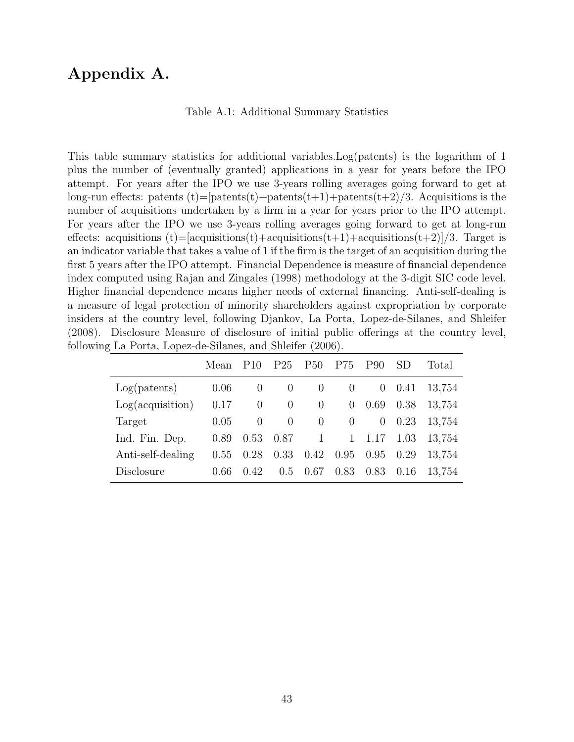# <span id="page-43-0"></span>Appendix A.

Table A.1: Additional Summary Statistics

This table summary statistics for additional variables.Log(patents) is the logarithm of 1 plus the number of (eventually granted) applications in a year for years before the IPO attempt. For years after the IPO we use 3-years rolling averages going forward to get at long-run effects: patents  $(t)=[\text{paths}(t)+\text{paths}(t+1)+\text{paths}(t+2)/3]$ . Acquisitions is the number of acquisitions undertaken by a firm in a year for years prior to the IPO attempt. For years after the IPO we use 3-years rolling averages going forward to get at long-run effects: acquisitions  $(t)=[acquistions(t)+acquistions(t+1)+acquistions(t+2)]/3$ . Target is an indicator variable that takes a value of 1 if the firm is the target of an acquisition during the first 5 years after the IPO attempt. Financial Dependence is measure of financial dependence index computed using Rajan and Zingales (1998) methodology at the 3-digit SIC code level. Higher financial dependence means higher needs of external financing. Anti-self-dealing is a measure of legal protection of minority shareholders against expropriation by corporate insiders at the country level, following Djankov, La Porta, Lopez-de-Silanes, and Shleifer (2008). Disclosure Measure of disclosure of initial public offerings at the country level, following La Porta, Lopez-de-Silanes, and Shleifer (2006).

|                           | Mean | P10      | P <sub>25</sub> | <b>P50</b>   | P75            | P <sub>90</sub> | SD.  | Total  |
|---------------------------|------|----------|-----------------|--------------|----------------|-----------------|------|--------|
| Log(patents)              | 0.06 | $\theta$ | $\theta$        | $\theta$     | $\overline{0}$ | $\theta$        | 0.41 | 13,754 |
| $Log(\text{acquisition})$ | 0.17 | $\theta$ | $\theta$        | $\theta$     | $\theta$       | 0.69            | 0.38 | 13,754 |
| Target                    | 0.05 | $\theta$ | $\theta$        | $\theta$     | $\overline{0}$ | $\theta$        | 0.23 | 13,754 |
| Ind. Fin. Dep.            | 0.89 | 0.53     | 0.87            | $\mathbf{1}$ | $\mathbf{1}$   | 1.17            | 1.03 | 13,754 |
| Anti-self-dealing         | 0.55 | 0.28     | 0.33            | 0.42         | 0.95           | 0.95            | 0.29 | 13,754 |
| Disclosure                | 0.66 | 0.42     | 0.5             | 0.67         | 0.83           | 0.83            | 0.16 | 13,754 |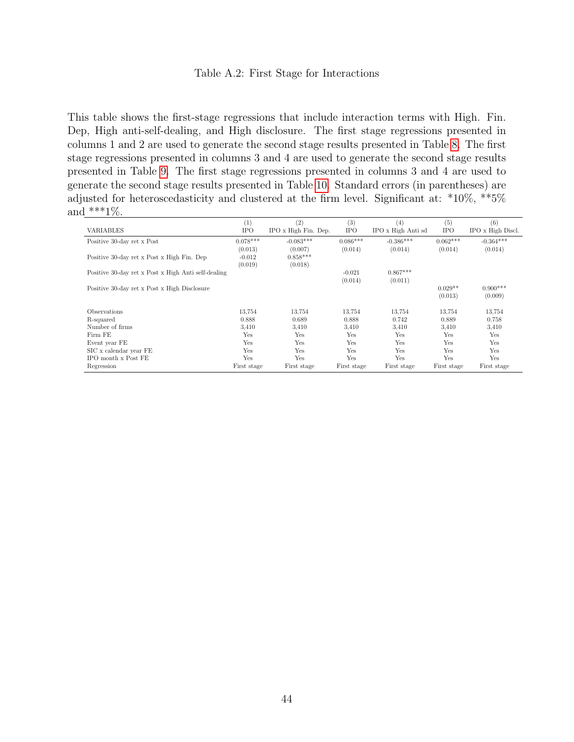### Table A.2: First Stage for Interactions

<span id="page-44-0"></span>This table shows the first-stage regressions that include interaction terms with High. Fin. Dep, High anti-self-dealing, and High disclosure. The first stage regressions presented in columns 1 and 2 are used to generate the second stage results presented in Table [8.](#page-38-0) The first stage regressions presented in columns 3 and 4 are used to generate the second stage results presented in Table [9.](#page-39-0) The first stage regressions presented in columns 3 and 4 are used to generate the second stage results presented in Table [10.](#page-40-0) Standard errors (in parentheses) are adjusted for heteroscedasticity and clustered at the firm level. Significant at: \*10%, \*\*5% and \*\*\*1\%.

|                                                     | (1)         | (2)                  | (3)         | (4)                | (5)         | (6)               |
|-----------------------------------------------------|-------------|----------------------|-------------|--------------------|-------------|-------------------|
| <b>VARIABLES</b>                                    | <b>IPO</b>  | IPO x High Fin. Dep. | <b>IPO</b>  | IPO x High Anti sd | <b>IPO</b>  | IPO x High Discl. |
| Positive 30-day ret x Post                          | $0.078***$  | $-0.083***$          | $0.086***$  | $-0.386***$        | $0.062***$  | $-0.364***$       |
|                                                     | (0.013)     | (0.007)              | (0.014)     | (0.014)            | (0.014)     | (0.014)           |
| Positive 30-day ret x Post x High Fin. Dep          | $-0.012$    | $0.858***$           |             |                    |             |                   |
|                                                     | (0.019)     | (0.018)              |             |                    |             |                   |
| Positive 30-day ret x Post x High Anti self-dealing |             |                      | $-0.021$    | $0.867***$         |             |                   |
|                                                     |             |                      | (0.014)     | (0.011)            |             |                   |
| Positive 30-day ret x Post x High Disclosure        |             |                      |             |                    | $0.029**$   | $0.900***$        |
|                                                     |             |                      |             |                    | (0.013)     | (0.009)           |
| <b>Observations</b>                                 | 13,754      | 13,754               | 13,754      | 13,754             | 13,754      | 13,754            |
| R-squared                                           | 0.888       | 0.689                | 0.888       | 0.742              | 0.889       | 0.758             |
| Number of firms                                     | 3.410       | 3,410                | 3,410       | 3,410              | 3,410       | 3,410             |
| Firm FE                                             | Yes         | Yes                  | Yes         | <b>Yes</b>         | Yes         | Yes               |
| Event year FE                                       | Yes         | Yes                  | Yes         | <b>Yes</b>         | Yes         | Yes               |
| SIC x calendar year FE                              | Yes         | Yes                  | Yes         | <b>Yes</b>         | Yes         | Yes               |
| IPO month x Post FE                                 | Yes         | Yes                  | Yes         | Yes                | Yes         | Yes               |
| Regression                                          | First stage | First stage          | First stage | First stage        | First stage | First stage       |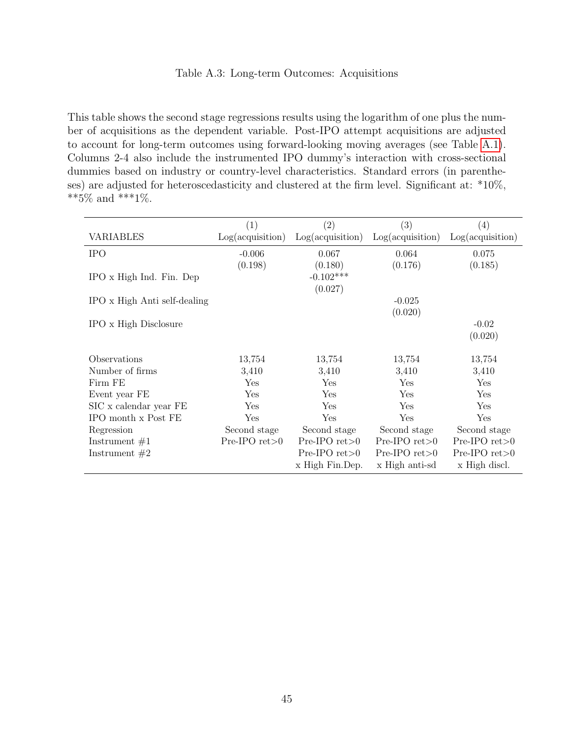### Table A.3: Long-term Outcomes: Acquisitions

<span id="page-45-0"></span>This table shows the second stage regressions results using the logarithm of one plus the number of acquisitions as the dependent variable. Post-IPO attempt acquisitions are adjusted to account for long-term outcomes using forward-looking moving averages (see Table [A.1\)](#page-43-0). Columns 2-4 also include the instrumented IPO dummy's interaction with cross-sectional dummies based on industry or country-level characteristics. Standard errors (in parentheses) are adjusted for heteroscedasticity and clustered at the firm level. Significant at: \*10%,  $^{**}5\%$  and  $^{***}1\%.$ 

|                              | (1)                     | (2)                | (3)                     | (4)                     |
|------------------------------|-------------------------|--------------------|-------------------------|-------------------------|
| VARIABLES                    | $Log(\alpha$ quisition) | Log(acquisition)   | $Log(\alpha$ quisition) | $Log(\alpha$ quisition) |
| <b>IPO</b>                   | $-0.006$                | 0.067              | 0.064                   | 0.075                   |
|                              | (0.198)                 | (0.180)            | (0.176)                 | (0.185)                 |
| IPO x High Ind. Fin. Dep     |                         | $-0.102***$        |                         |                         |
|                              |                         | (0.027)            |                         |                         |
| IPO x High Anti self-dealing |                         |                    | $-0.025$                |                         |
|                              |                         |                    | (0.020)                 |                         |
| IPO x High Disclosure        |                         |                    |                         | $-0.02$                 |
|                              |                         |                    |                         | (0.020)                 |
|                              |                         |                    |                         |                         |
| Observations                 | 13,754                  | 13,754             | 13,754                  | 13,754                  |
| Number of firms              | 3,410                   | 3,410              | 3,410                   | 3,410                   |
| Firm FE                      | Yes                     | Yes                | Yes                     | Yes                     |
| Event year FE                | Yes                     | Yes                | Yes                     | Yes                     |
| SIC x calendar year FE       | Yes                     | Yes                | Yes                     | Yes                     |
| IPO month x Post FE          | Yes                     | Yes                | Yes                     | Yes                     |
| Regression                   | Second stage            | Second stage       | Second stage            | Second stage            |
| Instrument $#1$              | Pre-IPO $ret>0$         | Pre-IPO $ret>0$    | Pre-IPO $ret>0$         | Pre-IPO $ret>0$         |
| Instrument $#2$              |                         | $Pre-IPO$ ret $>0$ | $Pre-IPO$ ret $>0$      | $Pre-IPO$ ret $>0$      |
|                              |                         | x High Fin.Dep.    | x High anti-sd          | x High discl.           |